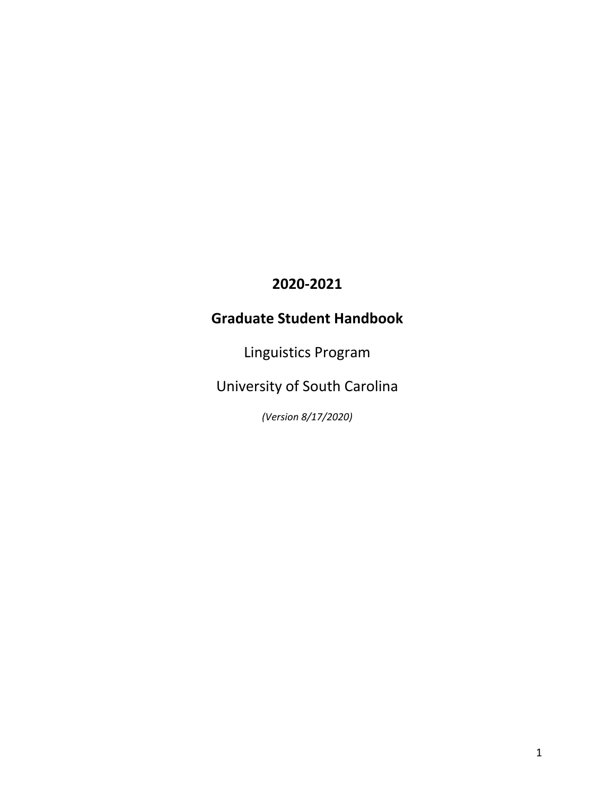# **2020-2021**

# **Graduate Student Handbook**

Linguistics Program

University of South Carolina

*(Version 8/17/2020)*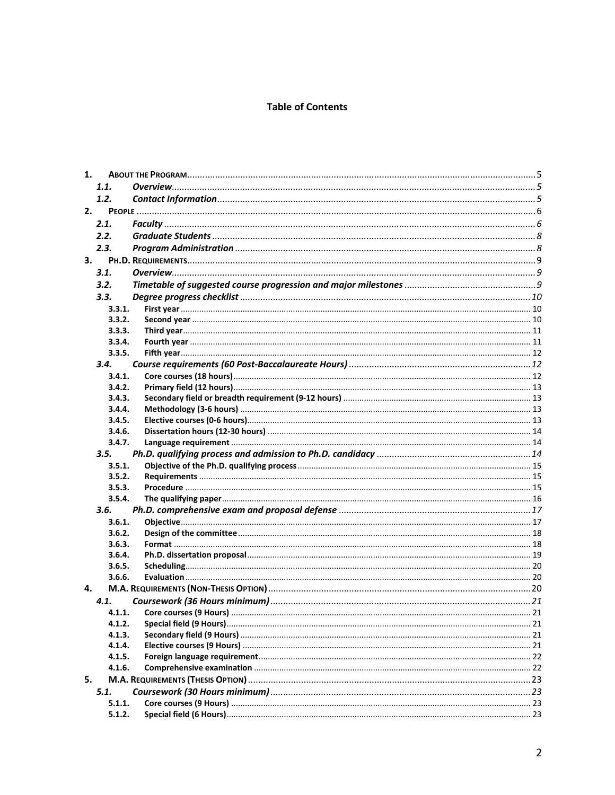#### **Table of Contents**

| 1. |                  |  |
|----|------------------|--|
|    | 1.1.             |  |
|    | 1.2.             |  |
|    | 2.               |  |
|    | 2.1.             |  |
|    | 2.2.             |  |
|    | 2.3.             |  |
|    | 3.               |  |
|    | 3.1.             |  |
|    | 3.2.             |  |
|    | 3.3.             |  |
|    | 3.3.1.           |  |
|    | 3.3.2.           |  |
|    | 3.3.3.           |  |
|    | 3.3.4.           |  |
|    | 3.3.5.           |  |
|    | 3.4.             |  |
|    | 3.4.1.           |  |
|    | 3.4.2.           |  |
|    | 3.4.3.           |  |
|    | 3.4.4.           |  |
|    | 3.4.5.           |  |
|    | 3.4.6.           |  |
|    | 3.4.7.           |  |
|    | 3.5.             |  |
|    | 3.5.1.           |  |
|    | 3.5.2.           |  |
|    | 3.5.3.           |  |
|    | 3.5.4.           |  |
|    | 3.6.             |  |
|    | 3.6.1.           |  |
|    | 3.6.2.           |  |
|    | 3.6.3.           |  |
|    | 3.6.4.<br>3.6.5. |  |
|    | 3.6.6.           |  |
| 4. |                  |  |
|    | 4.1.             |  |
|    | 4.1.1.           |  |
|    | 4.1.2.           |  |
|    | 4.1.3.           |  |
|    | 4.1.4.           |  |
|    | 4.1.5.           |  |
|    | 4.1.6.           |  |
| 5. |                  |  |
|    | 5.1.             |  |
|    | 5.1.1.           |  |
|    | 5.1.2.           |  |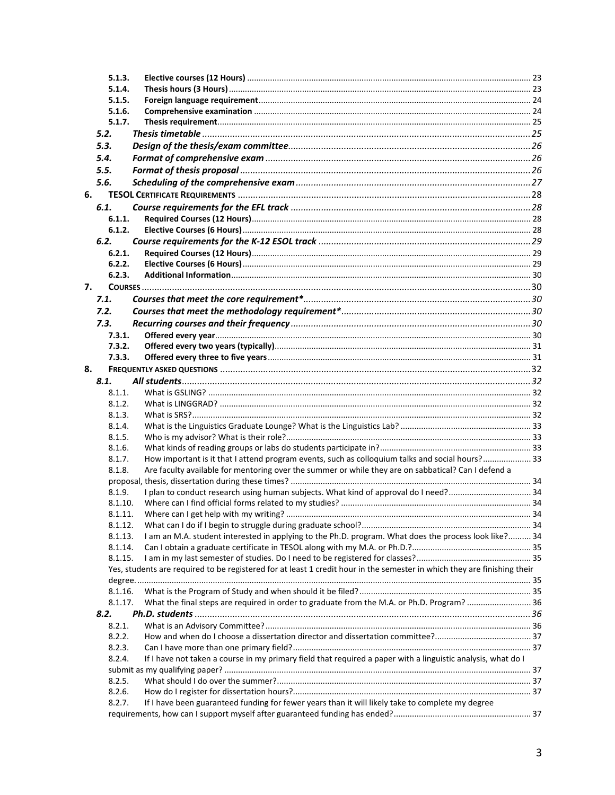|    | 5.1.3.  |                                                                                                                          |  |
|----|---------|--------------------------------------------------------------------------------------------------------------------------|--|
|    | 5.1.4.  |                                                                                                                          |  |
|    | 5.1.5.  |                                                                                                                          |  |
|    | 5.1.6.  |                                                                                                                          |  |
|    | 5.1.7.  |                                                                                                                          |  |
|    | 5.2.    |                                                                                                                          |  |
|    | 5.3.    |                                                                                                                          |  |
|    | 5.4.    |                                                                                                                          |  |
|    | 5.5.    |                                                                                                                          |  |
|    |         |                                                                                                                          |  |
|    | 5.6.    |                                                                                                                          |  |
| 6. |         |                                                                                                                          |  |
|    | 6.1.    |                                                                                                                          |  |
|    | 6.1.1.  |                                                                                                                          |  |
|    | 6.1.2.  |                                                                                                                          |  |
|    | 6.2.    |                                                                                                                          |  |
|    | 6.2.1.  |                                                                                                                          |  |
|    | 6.2.2.  |                                                                                                                          |  |
|    | 6.2.3.  |                                                                                                                          |  |
| 7. |         |                                                                                                                          |  |
|    | 7.1.    |                                                                                                                          |  |
|    | 7.2.    |                                                                                                                          |  |
|    | 7.3.    |                                                                                                                          |  |
|    | 7.3.1.  |                                                                                                                          |  |
|    | 7.3.2.  |                                                                                                                          |  |
|    | 7.3.3.  |                                                                                                                          |  |
| 8. |         |                                                                                                                          |  |
|    | 8.1.    |                                                                                                                          |  |
|    |         |                                                                                                                          |  |
|    | 8.1.1.  |                                                                                                                          |  |
|    | 8.1.2.  |                                                                                                                          |  |
|    | 8.1.3.  |                                                                                                                          |  |
|    | 8.1.4.  |                                                                                                                          |  |
|    | 8.1.5.  |                                                                                                                          |  |
|    | 8.1.6.  |                                                                                                                          |  |
|    | 8.1.7.  | How important is it that I attend program events, such as colloquium talks and social hours? 33                          |  |
|    | 8.1.8.  | Are faculty available for mentoring over the summer or while they are on sabbatical? Can I defend a                      |  |
|    |         |                                                                                                                          |  |
|    | 8.1.9.  | I plan to conduct research using human subjects. What kind of approval do I need? 34                                     |  |
|    | 8.1.10. |                                                                                                                          |  |
|    | 8.1.11. |                                                                                                                          |  |
|    | 8.1.12. |                                                                                                                          |  |
|    | 8.1.13. | I am an M.A. student interested in applying to the Ph.D. program. What does the process look like? 34                    |  |
|    | 8.1.14. |                                                                                                                          |  |
|    | 8.1.15. |                                                                                                                          |  |
|    |         | Yes, students are required to be registered for at least 1 credit hour in the semester in which they are finishing their |  |
|    |         |                                                                                                                          |  |
|    | 8.1.16. |                                                                                                                          |  |
|    | 8.1.17. | What the final steps are required in order to graduate from the M.A. or Ph.D. Program?  36                               |  |
|    | 8.2.    |                                                                                                                          |  |
|    | 8.2.1.  |                                                                                                                          |  |
|    | 8.2.2.  |                                                                                                                          |  |
|    | 8.2.3.  |                                                                                                                          |  |
|    | 8.2.4.  | If I have not taken a course in my primary field that required a paper with a linguistic analysis, what do I             |  |
|    |         |                                                                                                                          |  |
|    | 8.2.5.  |                                                                                                                          |  |
|    | 8.2.6.  |                                                                                                                          |  |
|    | 8.2.7.  | If I have been guaranteed funding for fewer years than it will likely take to complete my degree                         |  |
|    |         |                                                                                                                          |  |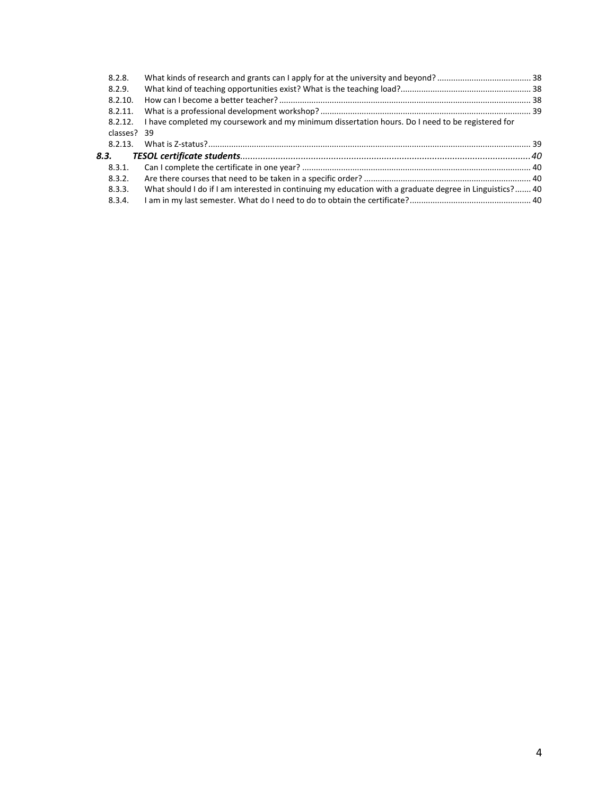| 8.2.8.      |                                                                                                         |  |
|-------------|---------------------------------------------------------------------------------------------------------|--|
| 8.2.9.      |                                                                                                         |  |
| 8.2.10.     |                                                                                                         |  |
| 8.2.11.     |                                                                                                         |  |
| 8.2.12.     | I have completed my coursework and my minimum dissertation hours. Do I need to be registered for        |  |
| classes? 39 |                                                                                                         |  |
| 8.2.13.     |                                                                                                         |  |
| 8.3.        |                                                                                                         |  |
| 8.3.1.      |                                                                                                         |  |
| 8.3.2.      |                                                                                                         |  |
| 8.3.3.      | What should I do if I am interested in continuing my education with a graduate degree in Linguistics?40 |  |
| 8.3.4.      |                                                                                                         |  |
|             |                                                                                                         |  |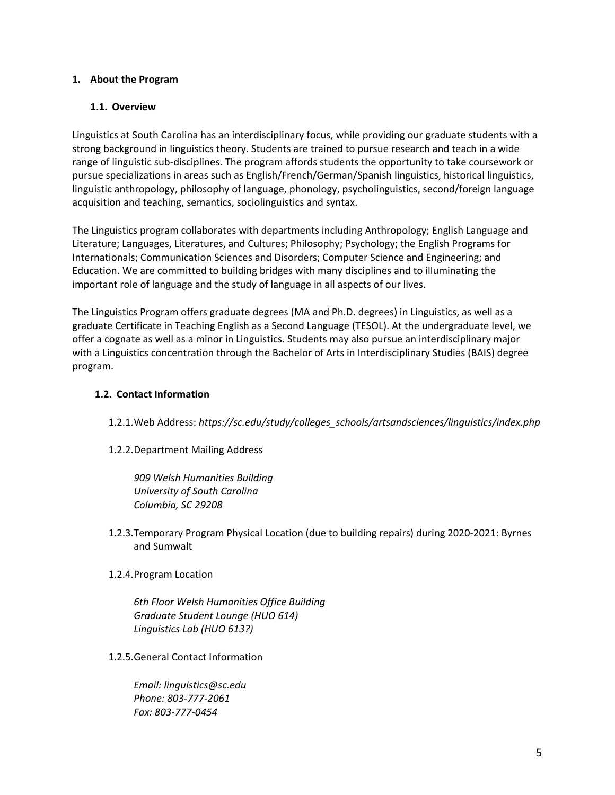#### <span id="page-4-0"></span>**1. About the Program**

#### <span id="page-4-1"></span>**1.1. Overview**

Linguistics at South Carolina has an interdisciplinary focus, while providing our graduate students with a strong background in linguistics theory. Students are trained to pursue research and teach in a wide range of linguistic sub-disciplines. The program affords students the opportunity to take coursework or pursue specializations in areas such as English/French/German/Spanish linguistics, historical linguistics, linguistic anthropology, philosophy of language, phonology, psycholinguistics, second/foreign language acquisition and teaching, semantics, sociolinguistics and syntax.

The Linguistics program collaborates with departments including Anthropology; English Language and Literature; Languages, Literatures, and Cultures; Philosophy; Psychology; the English Programs for Internationals; Communication Sciences and Disorders; Computer Science and Engineering; and Education. We are committed to building bridges with many disciplines and to illuminating the important role of language and the study of language in all aspects of our lives.

The Linguistics Program offers graduate degrees (MA and Ph.D. degrees) in Linguistics, as well as a graduate Certificate in Teaching English as a Second Language (TESOL). At the undergraduate level, we offer a cognate as well as a minor in Linguistics. Students may also pursue an interdisciplinary major with a Linguistics concentration through the Bachelor of Arts in Interdisciplinary Studies (BAIS) degree program.

#### <span id="page-4-2"></span>**1.2. Contact Information**

- 1.2.1.Web Address: *https://sc.edu/study/colleges\_schools/artsandsciences/linguistics/index.php*
- 1.2.2.Department Mailing Address

*909 Welsh Humanities Building University of South Carolina Columbia, SC 29208*

- 1.2.3.Temporary Program Physical Location (due to building repairs) during 2020-2021: Byrnes and Sumwalt
- 1.2.4.Program Location

*6th Floor Welsh Humanities Office Building Graduate Student Lounge (HUO 614) Linguistics Lab (HUO 613?)*

1.2.5.General Contact Information

*Email: [linguistics@sc.edu](mailto:linguistics@sc.edu) Phone: 803-777-2061 Fax: 803-777-0454*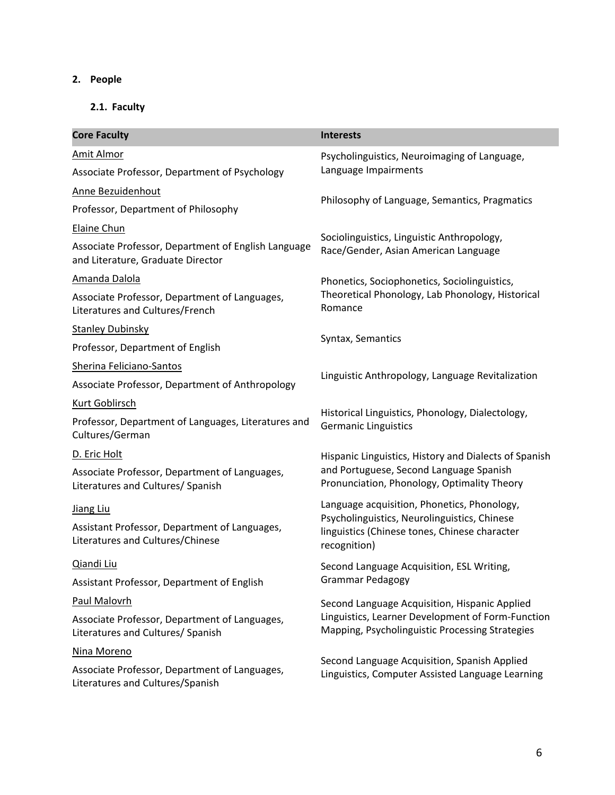# <span id="page-5-0"></span>**2. People**

# <span id="page-5-1"></span>**2.1. Faculty**

| <b>Core Faculty</b>                                                                      | <b>Interests</b>                                                                                              |  |
|------------------------------------------------------------------------------------------|---------------------------------------------------------------------------------------------------------------|--|
| Amit Almor                                                                               | Psycholinguistics, Neuroimaging of Language,                                                                  |  |
| Associate Professor, Department of Psychology                                            | Language Impairments                                                                                          |  |
| Anne Bezuidenhout                                                                        |                                                                                                               |  |
| Professor, Department of Philosophy                                                      | Philosophy of Language, Semantics, Pragmatics                                                                 |  |
| Elaine Chun                                                                              |                                                                                                               |  |
| Associate Professor, Department of English Language<br>and Literature, Graduate Director | Sociolinguistics, Linguistic Anthropology,<br>Race/Gender, Asian American Language                            |  |
| Amanda Dalola                                                                            | Phonetics, Sociophonetics, Sociolinguistics,                                                                  |  |
| Associate Professor, Department of Languages,<br>Literatures and Cultures/French         | Theoretical Phonology, Lab Phonology, Historical<br>Romance                                                   |  |
| <b>Stanley Dubinsky</b>                                                                  |                                                                                                               |  |
| Professor, Department of English                                                         | Syntax, Semantics                                                                                             |  |
| Sherina Feliciano-Santos                                                                 | Linguistic Anthropology, Language Revitalization                                                              |  |
| Associate Professor, Department of Anthropology                                          |                                                                                                               |  |
| Kurt Goblirsch                                                                           |                                                                                                               |  |
| Professor, Department of Languages, Literatures and<br>Cultures/German                   | Historical Linguistics, Phonology, Dialectology,<br><b>Germanic Linguistics</b>                               |  |
| D. Eric Holt                                                                             | Hispanic Linguistics, History and Dialects of Spanish                                                         |  |
| Associate Professor, Department of Languages,<br>Literatures and Cultures/ Spanish       | and Portuguese, Second Language Spanish<br>Pronunciation, Phonology, Optimality Theory                        |  |
| Jiang Liu                                                                                | Language acquisition, Phonetics, Phonology,                                                                   |  |
| Assistant Professor, Department of Languages,<br>Literatures and Cultures/Chinese        | Psycholinguistics, Neurolinguistics, Chinese<br>linguistics (Chinese tones, Chinese character<br>recognition) |  |
| <u>Qiandi Liu</u>                                                                        | Second Language Acquisition, ESL Writing,                                                                     |  |
| Assistant Professor, Department of English                                               | <b>Grammar Pedagogy</b>                                                                                       |  |
| Paul Malovrh                                                                             | Second Language Acquisition, Hispanic Applied                                                                 |  |
| Associate Professor, Department of Languages,<br>Literatures and Cultures/ Spanish       | Linguistics, Learner Development of Form-Function<br>Mapping, Psycholinguistic Processing Strategies          |  |
| Nina Moreno                                                                              | Second Language Acquisition, Spanish Applied                                                                  |  |
| Associate Professor, Department of Languages,<br>Literatures and Cultures/Spanish        | Linguistics, Computer Assisted Language Learning                                                              |  |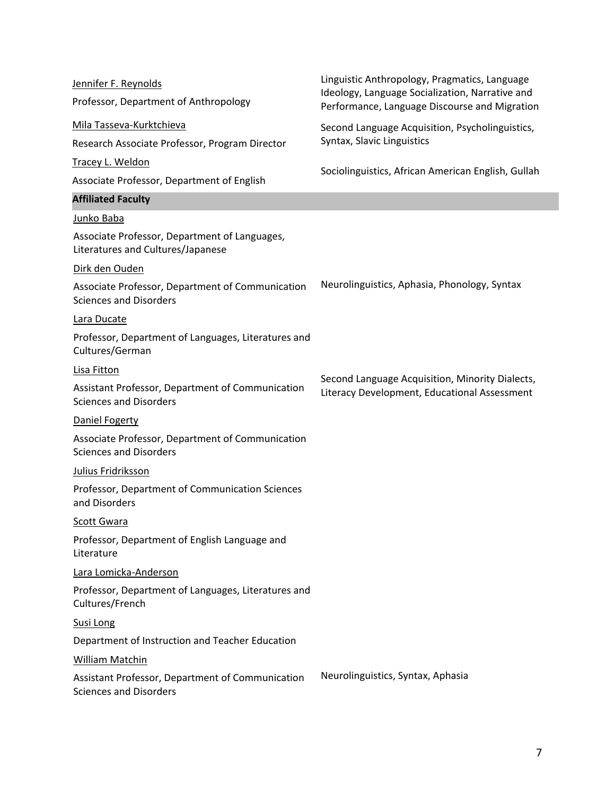| Jennifer F. Reynolds                                                               | Linguistic Anthropology, Pragmatics, Language                                                    |  |
|------------------------------------------------------------------------------------|--------------------------------------------------------------------------------------------------|--|
| Professor, Department of Anthropology                                              | Ideology, Language Socialization, Narrative and<br>Performance, Language Discourse and Migration |  |
| Mila Tasseva-Kurktchieva                                                           | Second Language Acquisition, Psycholinguistics,                                                  |  |
| Research Associate Professor, Program Director                                     | Syntax, Slavic Linguistics                                                                       |  |
| Tracey L. Weldon                                                                   |                                                                                                  |  |
| Associate Professor, Department of English                                         | Sociolinguistics, African American English, Gullah                                               |  |
| <b>Affiliated Faculty</b>                                                          |                                                                                                  |  |
| Junko Baba                                                                         |                                                                                                  |  |
| Associate Professor, Department of Languages,<br>Literatures and Cultures/Japanese |                                                                                                  |  |
| Dirk den Ouden                                                                     |                                                                                                  |  |
| Associate Professor, Department of Communication<br><b>Sciences and Disorders</b>  | Neurolinguistics, Aphasia, Phonology, Syntax                                                     |  |
| Lara Ducate                                                                        |                                                                                                  |  |
| Professor, Department of Languages, Literatures and<br>Cultures/German             |                                                                                                  |  |
| Lisa Fitton                                                                        |                                                                                                  |  |
| Assistant Professor, Department of Communication<br><b>Sciences and Disorders</b>  | Second Language Acquisition, Minority Dialects,<br>Literacy Development, Educational Assessment  |  |
| Daniel Fogerty                                                                     |                                                                                                  |  |
| Associate Professor, Department of Communication<br><b>Sciences and Disorders</b>  |                                                                                                  |  |
| Julius Fridriksson                                                                 |                                                                                                  |  |
| Professor, Department of Communication Sciences<br>and Disorders                   |                                                                                                  |  |
| Scott Gwara                                                                        |                                                                                                  |  |
| Professor, Department of English Language and<br>Literature                        |                                                                                                  |  |
| Lara Lomicka-Anderson                                                              |                                                                                                  |  |
| Professor, Department of Languages, Literatures and<br>Cultures/French             |                                                                                                  |  |
| <b>Susi Long</b>                                                                   |                                                                                                  |  |
| Department of Instruction and Teacher Education                                    |                                                                                                  |  |
| William Matchin                                                                    |                                                                                                  |  |
| Assistant Professor, Department of Communication<br><b>Sciences and Disorders</b>  | Neurolinguistics, Syntax, Aphasia                                                                |  |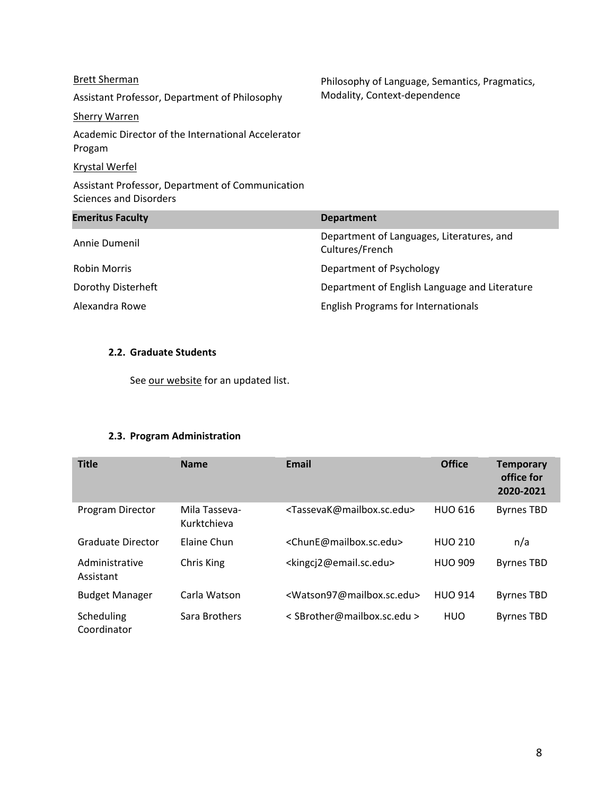#### [Brett Sherman](https://sc.edu/study/colleges_schools/artsandsciences/philosophy/our_people/sherman_brett.php)

Assistant Professor, Department of Philosophy

# [Sherry Warren](https://sc.edu/study/international_accelerator/about/meet_the_team/warren_sherry.php)

Academic Director of the International Accelerator Progam

#### [Krystal Werfel](https://www.sc.edu/study/colleges_schools/public_health/faculty-staff/werfel_krystal.php)

Assistant Professor, Department of Communication Sciences and Disorders

| <b>Emeritus Faculty</b> | <b>Department</b>                                            |
|-------------------------|--------------------------------------------------------------|
| Annie Dumenil           | Department of Languages, Literatures, and<br>Cultures/French |
| Robin Morris            | Department of Psychology                                     |
| Dorothy Disterheft      | Department of English Language and Literature                |
| Alexandra Rowe          | <b>English Programs for Internationals</b>                   |

#### <span id="page-7-0"></span>**2.2. Graduate Students**

See [our website](https://sc.edu/study/colleges_schools/artsandsciences/linguistics/our_people/graduate_students/index.php) for an updated list.

## **2.3. Program Administration**

<span id="page-7-1"></span>

| <b>Title</b>                | <b>Name</b>                  | <b>Email</b>                                        | <b>Office</b>  | <b>Temporary</b><br>office for<br>2020-2021 |
|-----------------------------|------------------------------|-----------------------------------------------------|----------------|---------------------------------------------|
| Program Director            | Mila Tasseva-<br>Kurktchieva | <tassevak@mailbox.sc.edu></tassevak@mailbox.sc.edu> | <b>HUO 616</b> | <b>Byrnes TBD</b>                           |
| <b>Graduate Director</b>    | Elaine Chun                  | <chune@mailbox.sc.edu></chune@mailbox.sc.edu>       | <b>HUO 210</b> | n/a                                         |
| Administrative<br>Assistant | Chris King                   | <kingcj2@email.sc.edu></kingcj2@email.sc.edu>       | <b>HUO 909</b> | <b>Byrnes TBD</b>                           |
| <b>Budget Manager</b>       | Carla Watson                 | <watson97@mailbox.sc.edu></watson97@mailbox.sc.edu> | <b>HUO 914</b> | <b>Byrnes TBD</b>                           |
| Scheduling<br>Coordinator   | Sara Brothers                | < SBrother@mailbox.sc.edu >                         | HUO            | <b>Byrnes TBD</b>                           |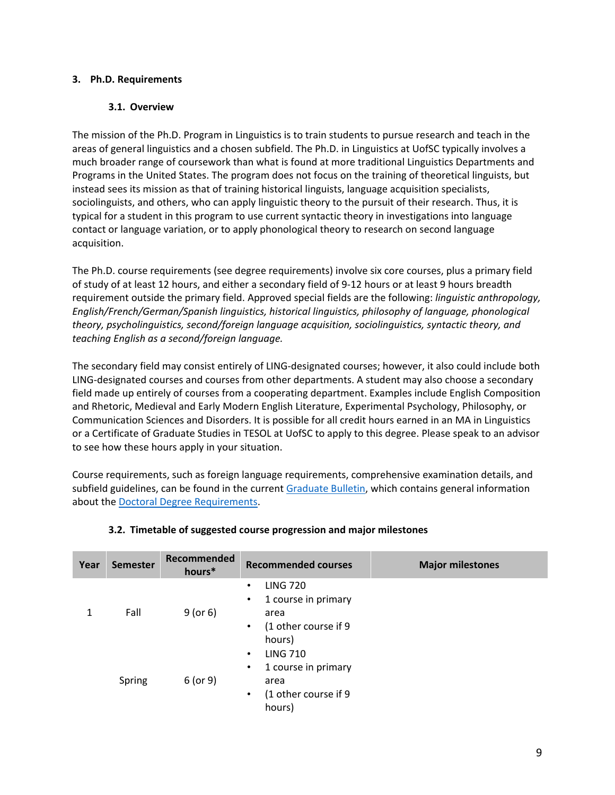#### <span id="page-8-1"></span><span id="page-8-0"></span>**3. Ph.D. Requirements**

#### **3.1. Overview**

The mission of the Ph.D. Program in Linguistics is to train students to pursue research and teach in the areas of general linguistics and a chosen subfield. The Ph.D. in Linguistics at UofSC typically involves a much broader range of coursework than what is found at more traditional Linguistics Departments and Programs in the United States. The program does not focus on the training of theoretical linguists, but instead sees its mission as that of training historical linguists, language acquisition specialists, sociolinguists, and others, who can apply linguistic theory to the pursuit of their research. Thus, it is typical for a student in this program to use current syntactic theory in investigations into language contact or language variation, or to apply phonological theory to research on second language acquisition.

The Ph.D. course requirements (see degree requirements) involve six core courses, plus a primary field of study of at least 12 hours, and either a secondary field of 9-12 hours or at least 9 hours breadth requirement outside the primary field. Approved special fields are the following: *linguistic anthropology, English/French/German/Spanish linguistics, historical linguistics, philosophy of language, phonological theory, psycholinguistics, second/foreign language acquisition, sociolinguistics, syntactic theory, and teaching English as a second/foreign language.*

The secondary field may consist entirely of LING-designated courses; however, it also could include both LING-designated courses and courses from other departments. A student may also choose a secondary field made up entirely of courses from a cooperating department. Examples include English Composition and Rhetoric, Medieval and Early Modern English Literature, Experimental Psychology, Philosophy, or Communication Sciences and Disorders. It is possible for all credit hours earned in an MA in Linguistics or a Certificate of Graduate Studies in TESOL at UofSC to apply to this degree. Please speak to an advisor to see how these hours apply in your situation.

Course requirements, such as foreign language requirements, comprehensive examination details, and subfield guidelines, can be found in the current [Graduate Bulletin,](https://academicbulletins.sc.edu/graduate/) which contains general information about the [Doctoral Degree Requirements.](https://academicbulletins.sc.edu/graduate/degree-requirements/doctoral-degree-requirements/)

<span id="page-8-2"></span>

| Year | Semester | Recommended<br>hours* | <b>Recommended courses</b>                                                                                      | <b>Major milestones</b> |
|------|----------|-----------------------|-----------------------------------------------------------------------------------------------------------------|-------------------------|
|      | Fall     | $9$ (or 6)            | <b>LING 720</b><br>1 course in primary<br>$\bullet$<br>area<br>(1 other course if 9<br>$\bullet$<br>hours)      |                         |
|      | Spring   | $6$ (or 9)            | <b>LING 710</b><br>٠<br>1 course in primary<br>$\bullet$<br>area<br>(1 other course if 9<br>$\bullet$<br>hours) |                         |

#### **3.2. Timetable of suggested course progression and major milestones**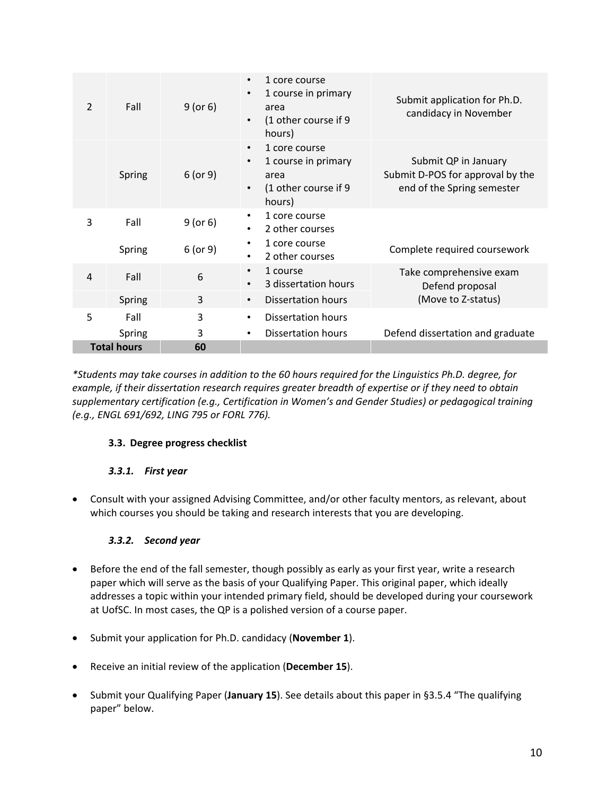| $\mathcal{P}$            | Fall   | $9$ (or 6) | 1 core course<br>$\bullet$<br>1 course in primary<br>area<br>(1 other course if 9<br>hours)              | Submit application for Ph.D.<br>candidacy in November                                  |
|--------------------------|--------|------------|----------------------------------------------------------------------------------------------------------|----------------------------------------------------------------------------------------|
|                          | Spring | $6$ (or 9) | 1 core course<br>$\bullet$<br>1 course in primary<br>$\bullet$<br>area<br>(1 other course if 9<br>hours) | Submit QP in January<br>Submit D-POS for approval by the<br>end of the Spring semester |
| 3                        | Fall   | $9$ (or 6) | 1 core course<br>2 other courses                                                                         |                                                                                        |
|                          | Spring | 6 (or 9)   | 1 core course<br>2 other courses                                                                         | Complete required coursework                                                           |
| 4                        | Fall   | 6          | 1 course<br>$\bullet$<br>3 dissertation hours                                                            | Take comprehensive exam<br>Defend proposal                                             |
|                          | Spring | 3          | Dissertation hours<br>$\bullet$                                                                          | (Move to Z-status)                                                                     |
| 5                        | Fall   | 3          | <b>Dissertation hours</b><br>٠                                                                           |                                                                                        |
|                          | Spring | 3          | Dissertation hours                                                                                       | Defend dissertation and graduate                                                       |
| <b>Total hours</b><br>60 |        |            |                                                                                                          |                                                                                        |

*\*Students may take courses in addition to the 60 hours required for the Linguistics Ph.D. degree, for example, if their dissertation research requires greater breadth of expertise or if they need to obtain supplementary certification (e.g., Certification in Women's and Gender Studies) or pedagogical training (e.g., ENGL 691/692, LING 795 or FORL 776).*

# <span id="page-9-0"></span>**3.3. Degree progress checklist**

#### *3.3.1. First year*

<span id="page-9-1"></span>• Consult with your assigned Advising Committee, and/or other faculty mentors, as relevant, about which courses you should be taking and research interests that you are developing.

# *3.3.2. Second year*

- <span id="page-9-2"></span>• Before the end of the fall semester, though possibly as early as your first year, write a research paper which will serve as the basis of your Qualifying Paper. This original paper, which ideally addresses a topic within your intended primary field, should be developed during your coursework at UofSC. In most cases, the QP is a polished version of a course paper.
- Submit your application for Ph.D. candidacy (**November 1**).
- Receive an initial review of the application (**December 15**).
- Submit your Qualifying Paper (**January 15**). See details about this paper in [§3.5.4 "The qualifying](#page-15-0)  [paper"](#page-15-0) below.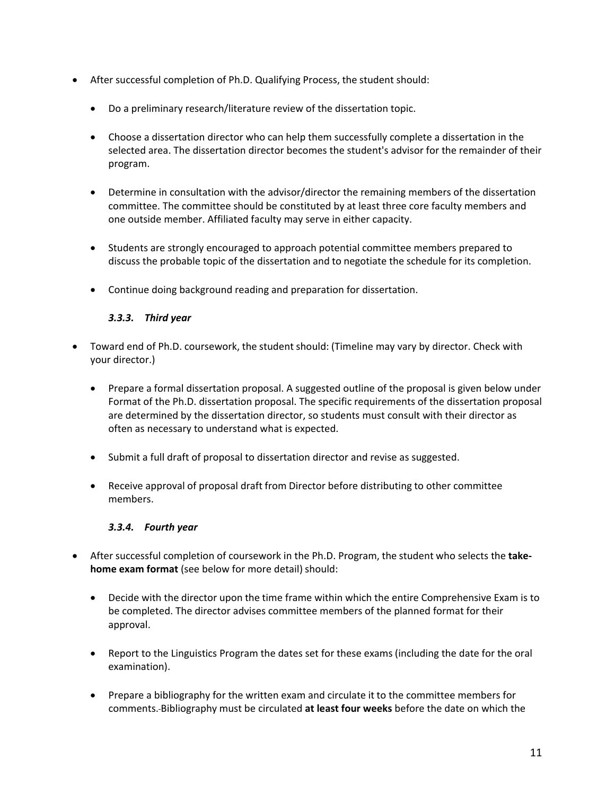- After successful completion of Ph.D. Qualifying Process, the student should:
	- Do a preliminary research/literature review of the dissertation topic.
	- Choose a dissertation director who can help them successfully complete a dissertation in the selected area. The dissertation director becomes the student's advisor for the remainder of their program.
	- Determine in consultation with the advisor/director the remaining members of the dissertation committee. The committee should be constituted by at least three core faculty members and one outside member. Affiliated faculty may serve in either capacity.
	- Students are strongly encouraged to approach potential committee members prepared to discuss the probable topic of the dissertation and to negotiate the schedule for its completion.
	- Continue doing background reading and preparation for dissertation.

## *3.3.3. Third year*

- <span id="page-10-0"></span>• Toward end of Ph.D. coursework, the student should: (Timeline may vary by director. Check with your director.)
	- Prepare a formal dissertation proposal. A suggested outline of the proposal is given below under Format of the Ph.D. dissertation proposal. The specific requirements of the dissertation proposal are determined by the dissertation director, so students must consult with their director as often as necessary to understand what is expected.
	- Submit a full draft of proposal to dissertation director and revise as suggested.
	- Receive approval of proposal draft from Director before distributing to other committee members.

#### *3.3.4. Fourth year*

- <span id="page-10-1"></span>• After successful completion of coursework in the Ph.D. Program, the student who selects the **takehome exam format** (see below for more detail) should:
	- Decide with the director upon the time frame within which the entire Comprehensive Exam is to be completed. The director advises committee members of the planned format for their approval.
	- Report to the Linguistics Program the dates set for these exams (including the date for the oral examination).
	- Prepare a bibliography for the written exam and circulate it to the committee members for comments. Bibliography must be circulated **at least four weeks** before the date on which the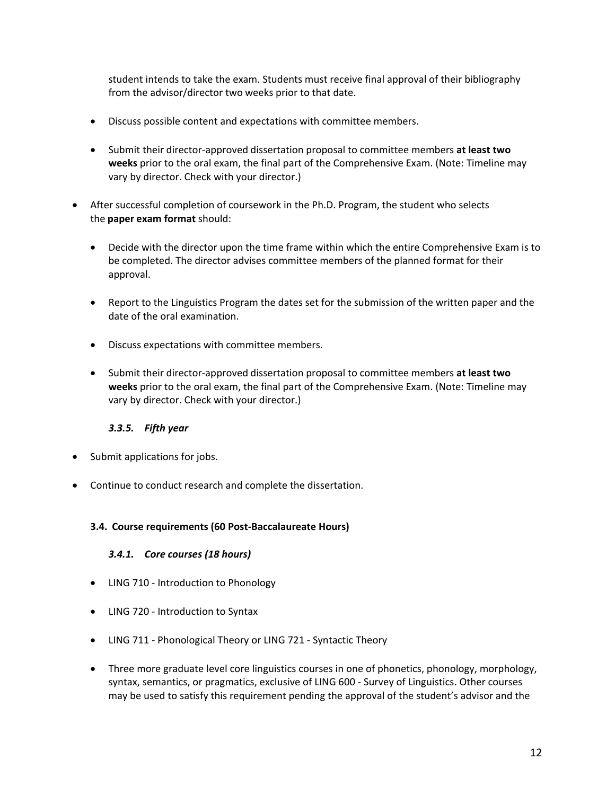student intends to take the exam. Students must receive final approval of their bibliography from the advisor/director two weeks prior to that date.

- Discuss possible content and expectations with committee members.
- Submit their director-approved dissertation proposal to committee members **at least two weeks** prior to the oral exam, the final part of the Comprehensive Exam. (Note: Timeline may vary by director. Check with your director.)
- After successful completion of coursework in the Ph.D. Program, the student who selects the **paper exam format** should:
	- Decide with the director upon the time frame within which the entire Comprehensive Exam is to be completed. The director advises committee members of the planned format for their approval.
	- Report to the Linguistics Program the dates set for the submission of the written paper and the date of the oral examination.
	- Discuss expectations with committee members.
	- Submit their director-approved dissertation proposal to committee members **at least two weeks** prior to the oral exam, the final part of the Comprehensive Exam. (Note: Timeline may vary by director. Check with your director.)

#### *3.3.5. Fifth year*

- <span id="page-11-0"></span>• Submit applications for jobs.
- Continue to conduct research and complete the dissertation.

#### <span id="page-11-2"></span><span id="page-11-1"></span>**3.4. Course requirements (60 Post-Baccalaureate Hours)**

#### *3.4.1. Core courses (18 hours)*

- LING 710 Introduction to Phonology
- LING 720 Introduction to Syntax
- LING 711 Phonological Theory or LING 721 Syntactic Theory
- Three more graduate level core linguistics courses in one of phonetics, phonology, morphology, syntax, semantics, or pragmatics, exclusive of LING 600 - Survey of Linguistics. Other courses may be used to satisfy this requirement pending the approval of the student's advisor and the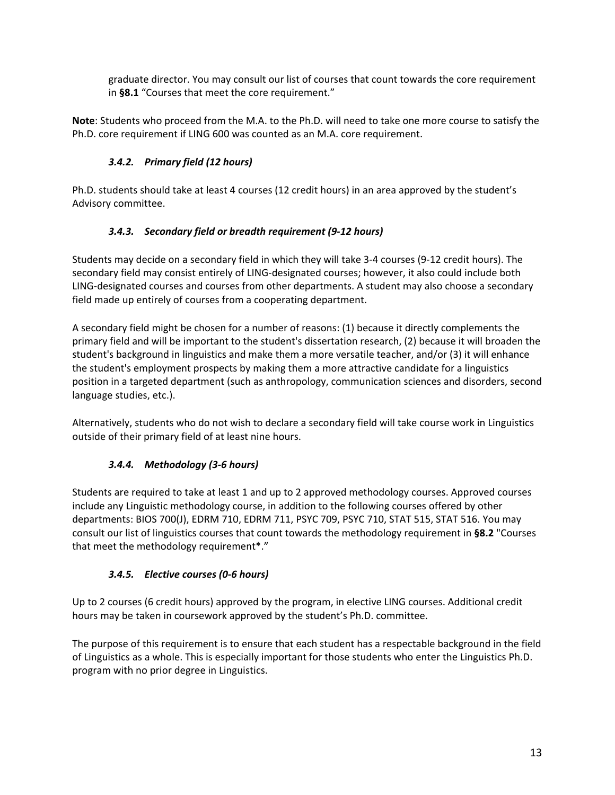graduate director. You may consult our list of courses that count towards the core requirement in **[§8.1](#page-29-2)** ["Courses that meet the core requirement.](#page-29-2)"

**Note**: Students who proceed from the M.A. to the Ph.D. will need to take one more course to satisfy the Ph.D. core requirement if LING 600 was counted as an M.A. core requirement.

# *3.4.2. Primary field (12 hours)*

<span id="page-12-0"></span>Ph.D. students should take at least 4 courses (12 credit hours) in an area approved by the student's Advisory committee.

# *3.4.3. Secondary field or breadth requirement (9-12 hours)*

<span id="page-12-1"></span>Students may decide on a secondary field in which they will take 3-4 courses (9-12 credit hours). The secondary field may consist entirely of LING-designated courses; however, it also could include both LING-designated courses and courses from other departments. A student may also choose a secondary field made up entirely of courses from a cooperating department.

A secondary field might be chosen for a number of reasons: (1) because it directly complements the primary field and will be important to the student's dissertation research, (2) because it will broaden the student's background in linguistics and make them a more versatile teacher, and/or (3) it will enhance the student's employment prospects by making them a more attractive candidate for a linguistics position in a targeted department (such as anthropology, communication sciences and disorders, second language studies, etc.).

Alternatively, students who do not wish to declare a secondary field will take course work in Linguistics outside of their primary field of at least nine hours.

# *3.4.4. Methodology (3-6 hours)*

<span id="page-12-2"></span>Students are required to take at least 1 and up to 2 approved methodology courses. Approved courses include any Linguistic methodology course, in addition to the following courses offered by other departments: BIOS 700(J), EDRM 710, EDRM 711, PSYC 709, PSYC 710, STAT 515, STAT 516. You may consult our list of linguistics courses that count towards the methodology requirement in **[§8.2](#page-29-3)** ["Courses](#page-29-3)  [that meet the methodology requirement\\*.](#page-29-3)"

# *3.4.5. Elective courses (0-6 hours)*

<span id="page-12-3"></span>Up to 2 courses (6 credit hours) approved by the program, in elective LING courses. Additional credit hours may be taken in coursework approved by the student's Ph.D. committee.

The purpose of this requirement is to ensure that each student has a respectable background in the field of Linguistics as a whole. This is especially important for those students who enter the Linguistics Ph.D. program with no prior degree in Linguistics.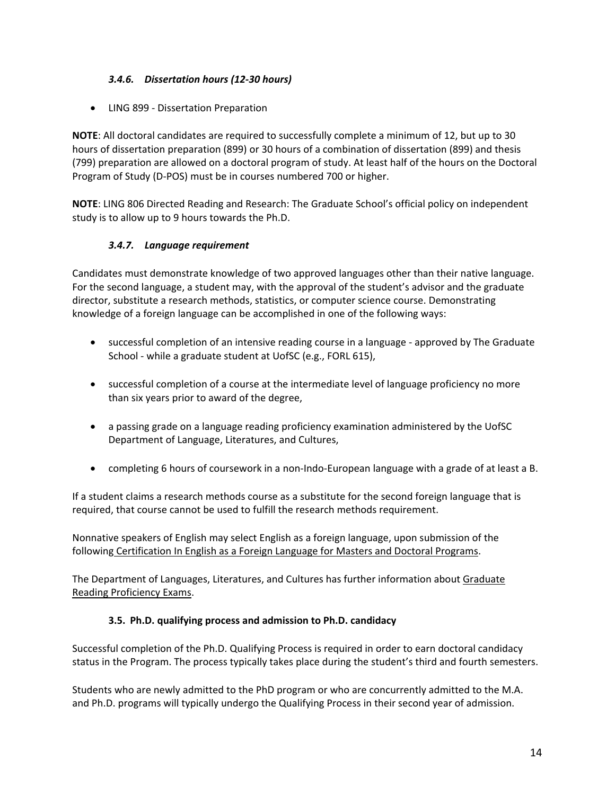## *3.4.6. Dissertation hours (12-30 hours)*

<span id="page-13-0"></span>• LING 899 - Dissertation Preparation

**NOTE**: All doctoral candidates are required to successfully complete a minimum of 12, but up to 30 hours of dissertation preparation (899) or 30 hours of a combination of dissertation (899) and thesis (799) preparation are allowed on a doctoral program of study. At least half of the hours on the Doctoral Program of Study (D-POS) must be in courses numbered 700 or higher.

**NOTE**: LING 806 Directed Reading and Research: The Graduate School's official policy on independent study is to allow up to 9 hours towards the Ph.D.

## *3.4.7. Language requirement*

<span id="page-13-1"></span>Candidates must demonstrate knowledge of two approved languages other than their native language. For the second language, a student may, with the approval of the student's advisor and the graduate director, substitute a research methods, statistics, or computer science course. Demonstrating knowledge of a foreign language can be accomplished in one of the following ways:

- successful completion of an intensive reading course in a language approved by The Graduate School - while a graduate student at UofSC (e.g., FORL 615),
- successful completion of a course at the intermediate level of language proficiency no more than six years prior to award of the degree,
- a passing grade on a language reading proficiency examination administered by the UofSC Department of Language, Literatures, and Cultures,
- completing 6 hours of coursework in a non-Indo-European language with a grade of at least a B.

If a student claims a research methods course as a substitute for the second foreign language that is required, that course cannot be used to fulfill the research methods requirement.

Nonnative speakers of English may select English as a foreign language, upon submission of the following [Certification In English as a Foreign Language for Masters and Doctoral Programs.](https://www.sc.edu/study/colleges_schools/graduate_school/documents/g-cie.certification.in.english.pdf)

The Department of Languages, Literatures, and Cultures has further information about Graduate [Reading Proficiency Exams.](https://www.sc.edu/study/colleges_schools/artsandsciences/dllc/study/graduate/grad_reading_exam.php)

#### **3.5. Ph.D. qualifying process and admission to Ph.D. candidacy**

<span id="page-13-2"></span>Successful completion of the Ph.D. Qualifying Process is required in order to earn doctoral candidacy status in the Program. The process typically takes place during the student's third and fourth semesters.

Students who are newly admitted to the PhD program or who are concurrently admitted to the M.A. and Ph.D. programs will typically undergo the Qualifying Process in their second year of admission.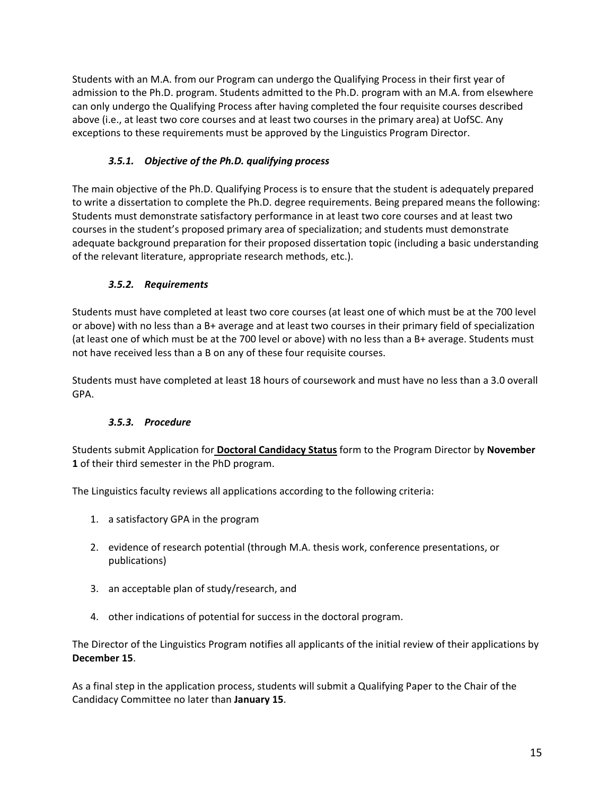Students with an M.A. from our Program can undergo the Qualifying Process in their first year of admission to the Ph.D. program. Students admitted to the Ph.D. program with an M.A. from elsewhere can only undergo the Qualifying Process after having completed the four requisite courses described above (i.e., at least two core courses and at least two courses in the primary area) at UofSC. Any exceptions to these requirements must be approved by the Linguistics Program Director.

# *3.5.1. Objective of the Ph.D. qualifying process*

<span id="page-14-0"></span>The main objective of the Ph.D. Qualifying Process is to ensure that the student is adequately prepared to write a dissertation to complete the Ph.D. degree requirements. Being prepared means the following: Students must demonstrate satisfactory performance in at least two core courses and at least two courses in the student's proposed primary area of specialization; and students must demonstrate adequate background preparation for their proposed dissertation topic (including a basic understanding of the relevant literature, appropriate research methods, etc.).

# *3.5.2. Requirements*

<span id="page-14-1"></span>Students must have completed at least two core courses (at least one of which must be at the 700 level or above) with no less than a B+ average and at least two courses in their primary field of specialization (at least one of which must be at the 700 level or above) with no less than a B+ average. Students must not have received less than a B on any of these four requisite courses.

Students must have completed at least 18 hours of coursework and must have no less than a 3.0 overall GPA.

# *3.5.3. Procedure*

<span id="page-14-2"></span>Students submit Application for **[Doctoral Candidacy Status](https://www.sc.edu/study/colleges_schools/artsandsciences/linguistics/documents/candidacy_application.pdf)** form to the Program Director by **November 1** of their third semester in the PhD program.

The Linguistics faculty reviews all applications according to the following criteria:

- 1. a satisfactory GPA in the program
- 2. evidence of research potential (through M.A. thesis work, conference presentations, or publications)
- 3. an acceptable plan of study/research, and
- 4. other indications of potential for success in the doctoral program.

The Director of the Linguistics Program notifies all applicants of the initial review of their applications by **December 15**.

As a final step in the application process, students will submit a Qualifying Paper to the Chair of the Candidacy Committee no later than **January 15**.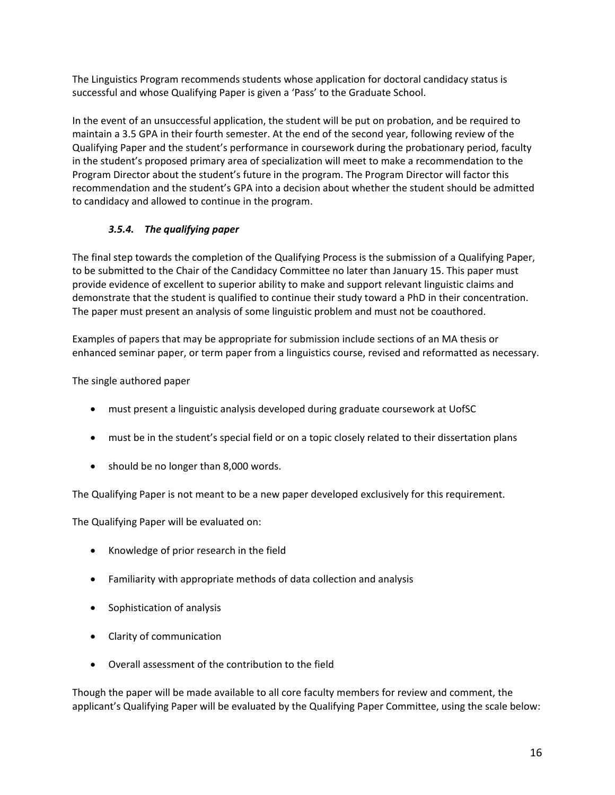The Linguistics Program recommends students whose application for doctoral candidacy status is successful and whose Qualifying Paper is given a 'Pass' to the Graduate School.

In the event of an unsuccessful application, the student will be put on probation, and be required to maintain a 3.5 GPA in their fourth semester. At the end of the second year, following review of the Qualifying Paper and the student's performance in coursework during the probationary period, faculty in the student's proposed primary area of specialization will meet to make a recommendation to the Program Director about the student's future in the program. The Program Director will factor this recommendation and the student's GPA into a decision about whether the student should be admitted to candidacy and allowed to continue in the program.

# *3.5.4. The qualifying paper*

<span id="page-15-0"></span>The final step towards the completion of the Qualifying Process is the submission of a Qualifying Paper, to be submitted to the Chair of the Candidacy Committee no later than January 15. This paper must provide evidence of excellent to superior ability to make and support relevant linguistic claims and demonstrate that the student is qualified to continue their study toward a PhD in their concentration. The paper must present an analysis of some linguistic problem and must not be coauthored.

Examples of papers that may be appropriate for submission include sections of an MA thesis or enhanced seminar paper, or term paper from a linguistics course, revised and reformatted as necessary.

The single authored paper

- must present a linguistic analysis developed during graduate coursework at UofSC
- must be in the student's special field or on a topic closely related to their dissertation plans
- should be no longer than 8,000 words.

The Qualifying Paper is not meant to be a new paper developed exclusively for this requirement.

The Qualifying Paper will be evaluated on:

- Knowledge of prior research in the field
- Familiarity with appropriate methods of data collection and analysis
- Sophistication of analysis
- Clarity of communication
- Overall assessment of the contribution to the field

Though the paper will be made available to all core faculty members for review and comment, the applicant's Qualifying Paper will be evaluated by the Qualifying Paper Committee, using the scale below: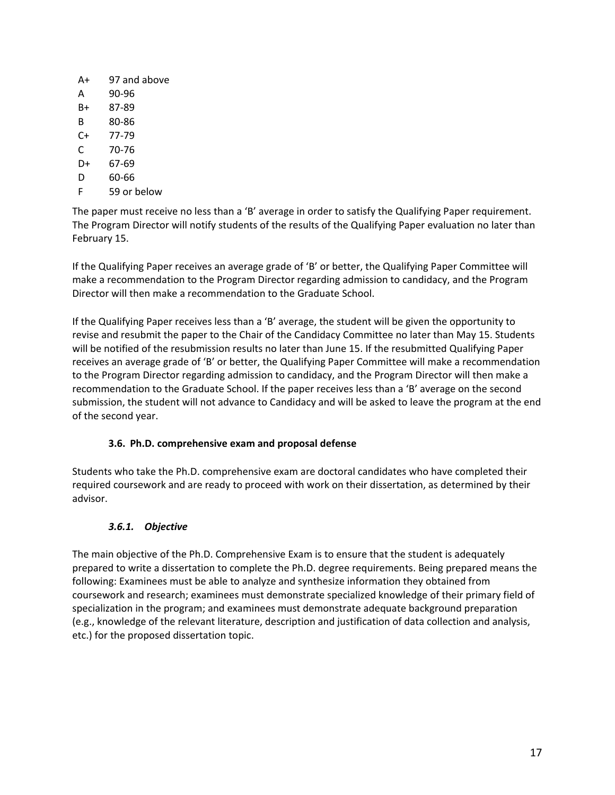| A+ | 97 and above |
|----|--------------|
| A  | 90-96        |
| B+ | 87-89        |
| R  | 80-86        |
| C+ | 77-79        |
| C  | 70-76        |
| D+ | 67-69        |
| D  | 60-66        |
| F  | 59 or below  |

The paper must receive no less than a 'B' average in order to satisfy the Qualifying Paper requirement. The Program Director will notify students of the results of the Qualifying Paper evaluation no later than February 15.

If the Qualifying Paper receives an average grade of 'B' or better, the Qualifying Paper Committee will make a recommendation to the Program Director regarding admission to candidacy, and the Program Director will then make a recommendation to the Graduate School.

If the Qualifying Paper receives less than a 'B' average, the student will be given the opportunity to revise and resubmit the paper to the Chair of the Candidacy Committee no later than May 15. Students will be notified of the resubmission results no later than June 15. If the resubmitted Qualifying Paper receives an average grade of 'B' or better, the Qualifying Paper Committee will make a recommendation to the Program Director regarding admission to candidacy, and the Program Director will then make a recommendation to the Graduate School. If the paper receives less than a 'B' average on the second submission, the student will not advance to Candidacy and will be asked to leave the program at the end of the second year.

#### **3.6. Ph.D. comprehensive exam and proposal defense**

<span id="page-16-0"></span>Students who take the Ph.D. comprehensive exam are doctoral candidates who have completed their required coursework and are ready to proceed with work on their dissertation, as determined by their advisor.

#### *3.6.1. Objective*

<span id="page-16-1"></span>The main objective of the Ph.D. Comprehensive Exam is to ensure that the student is adequately prepared to write a dissertation to complete the Ph.D. degree requirements. Being prepared means the following: Examinees must be able to analyze and synthesize information they obtained from coursework and research; examinees must demonstrate specialized knowledge of their primary field of specialization in the program; and examinees must demonstrate adequate background preparation (e.g., knowledge of the relevant literature, description and justification of data collection and analysis, etc.) for the proposed dissertation topic.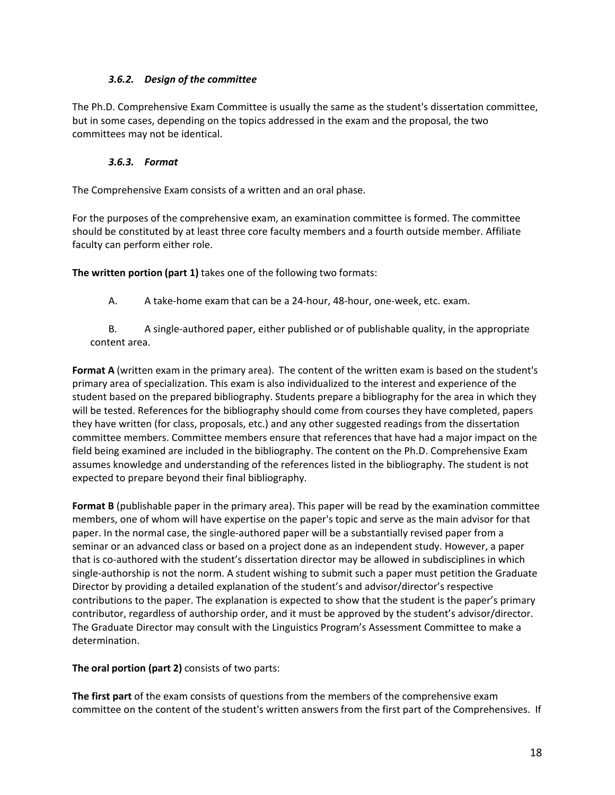#### *3.6.2. Design of the committee*

<span id="page-17-0"></span>The Ph.D. Comprehensive Exam Committee is usually the same as the student's dissertation committee, but in some cases, depending on the topics addressed in the exam and the proposal, the two committees may not be identical.

#### *3.6.3. Format*

<span id="page-17-1"></span>The Comprehensive Exam consists of a written and an oral phase.

For the purposes of the comprehensive exam, an examination committee is formed. The committee should be constituted by at least three core faculty members and a fourth outside member. Affiliate faculty can perform either role.

**The written portion (part 1)** takes one of the following two formats:

A. A take-home exam that can be a 24-hour, 48-hour, one-week, etc. exam.

B. A single-authored paper, either published or of publishable quality, in the appropriate content area.  

**Format A** (written exam in the primary area).  The content of the written exam is based on the student's primary area of specialization. This exam is also individualized to the interest and experience of the student based on the prepared bibliography. Students prepare a bibliography for the area in which they will be tested. References for the bibliography should come from courses they have completed, papers they have written (for class, proposals, etc.) and any other suggested readings from the dissertation committee members. Committee members ensure that references that have had a major impact on the field being examined are included in the bibliography. The content on the Ph.D. Comprehensive Exam assumes knowledge and understanding of the references listed in the bibliography. The student is not expected to prepare beyond their final bibliography.  

**Format B** (publishable paper in the primary area). This paper will be read by the examination committee members, one of whom will have expertise on the paper's topic and serve as the main advisor for that paper. In the normal case, the single-authored paper will be a substantially revised paper from a seminar or an advanced class or based on a project done as an independent study. However, a paper that is co-authored with the student's dissertation director may be allowed in subdisciplines in which single-authorship is not the norm. A student wishing to submit such a paper must petition the Graduate Director by providing a detailed explanation of the student's and advisor/director's respective contributions to the paper. The explanation is expected to show that the student is the paper's primary contributor, regardless of authorship order, and it must be approved by the student's advisor/director. The Graduate Director may consult with the Linguistics Program's Assessment Committee to make a determination.

**The oral portion (part 2)** consists of two parts:

**The first part** of the exam consists of questions from the members of the comprehensive exam committee on the content of the student's written answers from the first part of the Comprehensives. If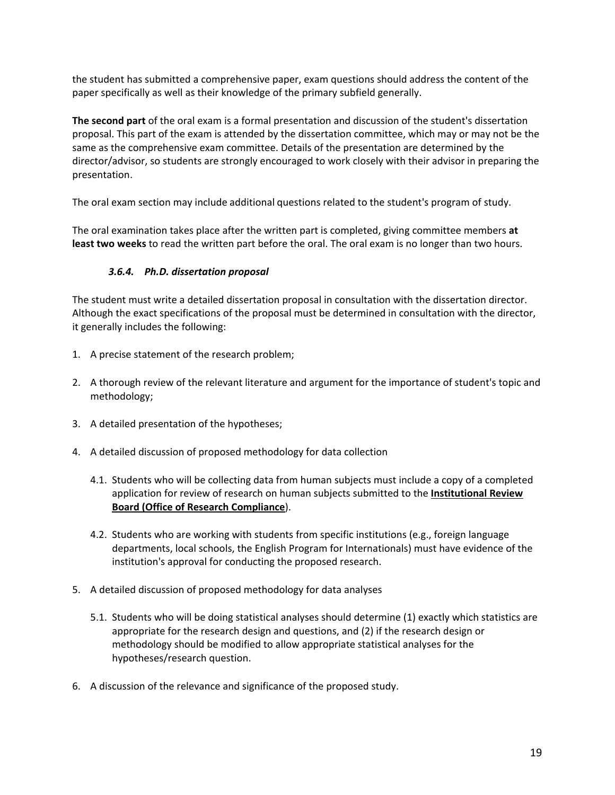the student has submitted a comprehensive paper, exam questions should address the content of the paper specifically as well as their knowledge of the primary subfield generally.

**The second part** of the oral exam is a formal presentation and discussion of the student's dissertation proposal. This part of the exam is attended by the dissertation committee, which may or may not be the same as the comprehensive exam committee. Details of the presentation are determined by the director/advisor, so students are strongly encouraged to work closely with their advisor in preparing the presentation.  

The oral exam section may include additional questions related to the student's program of study.  

The oral examination takes place after the written part is completed, giving committee members **at least two weeks** to read the written part before the oral. The oral exam is no longer than two hours.  

## *3.6.4. Ph.D. dissertation proposal*

<span id="page-18-0"></span>The student must write a detailed dissertation proposal in consultation with the dissertation director. Although the exact specifications of the proposal must be determined in consultation with the director, it generally includes the following:

- 1. A precise statement of the research problem;
- 2. A thorough review of the relevant literature and argument for the importance of student's topic and methodology;
- 3. A detailed presentation of the hypotheses;
- 4. A detailed discussion of proposed methodology for data collection
	- 4.1. Students who will be collecting data from human subjects must include a copy of a completed application for review of research on human subjects submitted to the **[Institutional Review](http://orc.research.sc.edu/irb.shtml)  [Board \(Office of Research Compliance](http://orc.research.sc.edu/irb.shtml)**).
	- 4.2. Students who are working with students from specific institutions (e.g., foreign language departments, local schools, the English Program for Internationals) must have evidence of the institution's approval for conducting the proposed research.
- 5. A detailed discussion of proposed methodology for data analyses
	- 5.1. Students who will be doing statistical analyses should determine (1) exactly which statistics are appropriate for the research design and questions, and (2) if the research design or methodology should be modified to allow appropriate statistical analyses for the hypotheses/research question.
- 6. A discussion of the relevance and significance of the proposed study.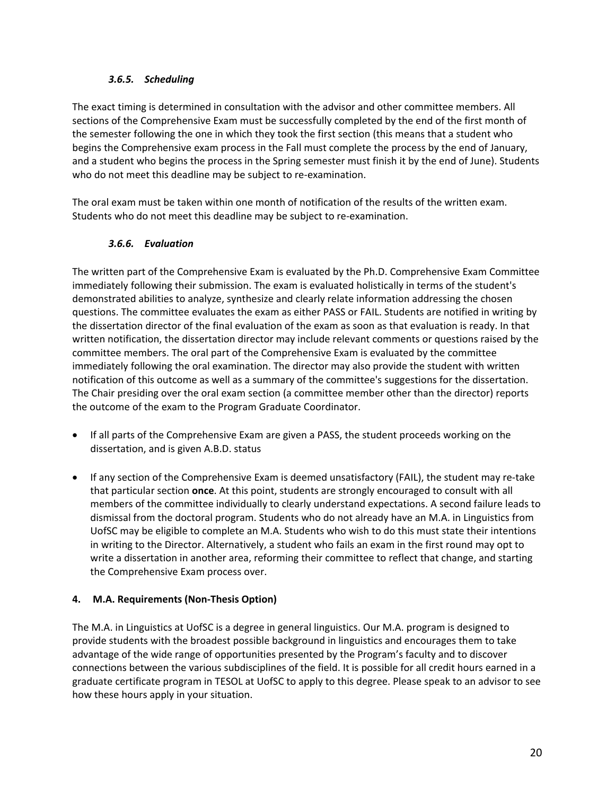## *3.6.5. Scheduling*

<span id="page-19-0"></span>The exact timing is determined in consultation with the advisor and other committee members. All sections of the Comprehensive Exam must be successfully completed by the end of the first month of the semester following the one in which they took the first section (this means that a student who begins the Comprehensive exam process in the Fall must complete the process by the end of January, and a student who begins the process in the Spring semester must finish it by the end of June). Students who do not meet this deadline may be subject to re-examination.

The oral exam must be taken within one month of notification of the results of the written exam. Students who do not meet this deadline may be subject to re-examination.

## *3.6.6. Evaluation*

<span id="page-19-1"></span>The written part of the Comprehensive Exam is evaluated by the Ph.D. Comprehensive Exam Committee immediately following their submission. The exam is evaluated holistically in terms of the student's demonstrated abilities to analyze, synthesize and clearly relate information addressing the chosen questions. The committee evaluates the exam as either PASS or FAIL. Students are notified in writing by the dissertation director of the final evaluation of the exam as soon as that evaluation is ready. In that written notification, the dissertation director may include relevant comments or questions raised by the committee members. The oral part of the Comprehensive Exam is evaluated by the committee immediately following the oral examination. The director may also provide the student with written notification of this outcome as well as a summary of the committee's suggestions for the dissertation. The Chair presiding over the oral exam section (a committee member other than the director) reports the outcome of the exam to the Program Graduate Coordinator.

- If all parts of the Comprehensive Exam are given a PASS, the student proceeds working on the dissertation, and is given A.B.D. status
- If any section of the Comprehensive Exam is deemed unsatisfactory (FAIL), the student may re-take that particular section **once**. At this point, students are strongly encouraged to consult with all members of the committee individually to clearly understand expectations. A second failure leads to dismissal from the doctoral program. Students who do not already have an M.A. in Linguistics from UofSC may be eligible to complete an M.A. Students who wish to do this must state their intentions in writing to the Director. Alternatively, a student who fails an exam in the first round may opt to write a dissertation in another area, reforming their committee to reflect that change, and starting the Comprehensive Exam process over.

# <span id="page-19-2"></span>**4. M.A. Requirements (Non-Thesis Option)**

The M.A. in Linguistics at UofSC is a degree in general linguistics. Our M.A. program is designed to provide students with the broadest possible background in linguistics and encourages them to take advantage of the wide range of opportunities presented by the Program's faculty and to discover connections between the various subdisciplines of the field. It is possible for all credit hours earned in a graduate certificate program in TESOL at UofSC to apply to this degree. Please speak to an advisor to see how these hours apply in your situation.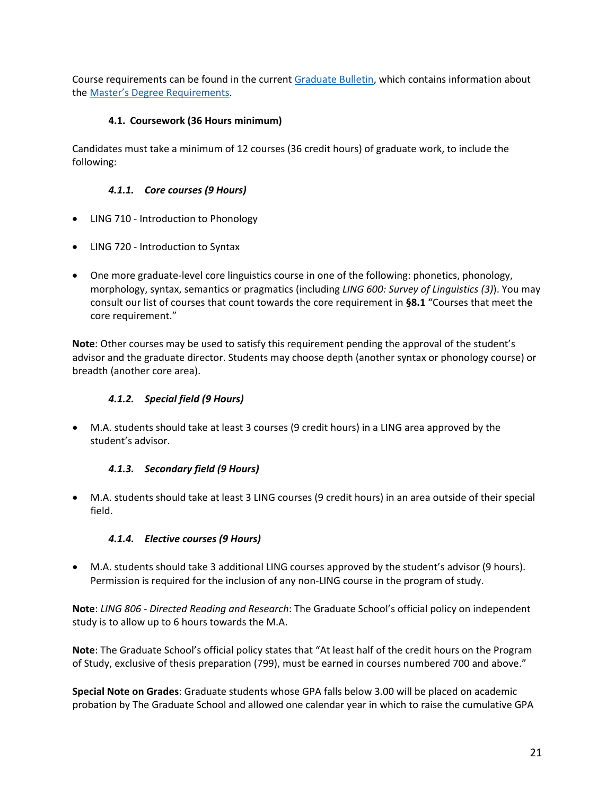Course requirements can be found in the current [Graduate Bulletin,](https://academicbulletins.sc.edu/graduate/) which contains information about the [Master's Degree Requirements.](https://academicbulletins.sc.edu/graduate/degree-requirements/masters-degree-requirements/)

## **4.1. Coursework (36 Hours minimum)**

<span id="page-20-0"></span>Candidates must take a minimum of 12 courses (36 credit hours) of graduate work, to include the following:

## *4.1.1. Core courses (9 Hours)*

- <span id="page-20-1"></span>• LING 710 - Introduction to Phonology
- LING 720 Introduction to Syntax
- One more graduate-level core linguistics course in one of the following: phonetics, phonology, morphology, syntax, semantics or pragmatics (including *LING 600: Survey of Linguistics (3)*). You may consult our list of courses that count towards the core requirement in **[§8.1](#page-29-2)** ["Courses that meet the](#page-29-2)  [core requirement.](#page-29-2)"

**Note**: Other courses may be used to satisfy this requirement pending the approval of the student's advisor and the graduate director. Students may choose depth (another syntax or phonology course) or breadth (another core area).

#### *4.1.2. Special field (9 Hours)*

<span id="page-20-2"></span>• M.A. students should take at least 3 courses (9 credit hours) in a LING area approved by the student's advisor.

#### *4.1.3. Secondary field (9 Hours)*

<span id="page-20-3"></span>• M.A. students should take at least 3 LING courses (9 credit hours) in an area outside of their special field.

# *4.1.4. Elective courses (9 Hours)*

<span id="page-20-4"></span>• M.A. students should take 3 additional LING courses approved by the student's advisor (9 hours). Permission is required for the inclusion of any non-LING course in the program of study.

**Note**: *LING 806 - Directed Reading and Research*: The Graduate School's official policy on independent study is to allow up to 6 hours towards the M.A.

**Note**: The Graduate School's official policy states that "At least half of the credit hours on the Program of Study, exclusive of thesis preparation (799), must be earned in courses numbered 700 and above."

**Special Note on Grades**: Graduate students whose GPA falls below 3.00 will be placed on academic probation by The Graduate School and allowed one calendar year in which to raise the cumulative GPA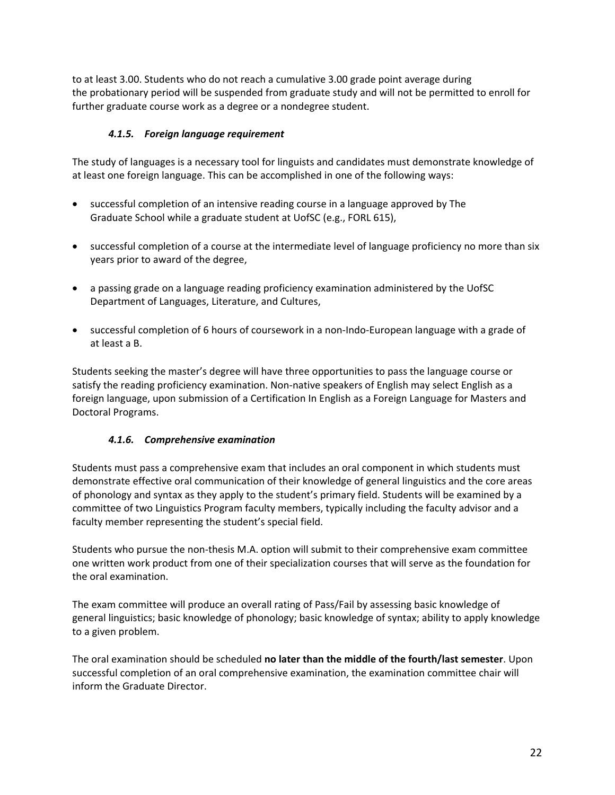to at least 3.00. Students who do not reach a cumulative 3.00 grade point average during the probationary period will be suspended from graduate study and will not be permitted to enroll for further graduate course work as a degree or a nondegree student.

## *4.1.5. Foreign language requirement*

<span id="page-21-0"></span>The study of languages is a necessary tool for linguists and candidates must demonstrate knowledge of at least one foreign language. This can be accomplished in one of the following ways:

- successful completion of an intensive reading course in a language approved by The Graduate School while a graduate student at UofSC (e.g., FORL 615),
- successful completion of a course at the intermediate level of language proficiency no more than six years prior to award of the degree,
- a passing grade on a language reading proficiency examination administered by the UofSC Department of Languages, Literature, and Cultures,
- successful completion of 6 hours of coursework in a non-Indo-European language with a grade of at least a B.

Students seeking the master's degree will have three opportunities to pass the language course or satisfy the reading proficiency examination. Non-native speakers of English may select English as a foreign language, upon submission of a Certification In English as a Foreign Language for Masters and Doctoral Programs.

#### *4.1.6. Comprehensive examination*

<span id="page-21-1"></span>Students must pass a comprehensive exam that includes an oral component in which students must demonstrate effective oral communication of their knowledge of general linguistics and the core areas of phonology and syntax as they apply to the student's primary field. Students will be examined by a committee of two Linguistics Program faculty members, typically including the faculty advisor and a faculty member representing the student's special field.

Students who pursue the non-thesis M.A. option will submit to their comprehensive exam committee one written work product from one of their specialization courses that will serve as the foundation for the oral examination.

The exam committee will produce an overall rating of Pass/Fail by assessing basic knowledge of general linguistics; basic knowledge of phonology; basic knowledge of syntax; ability to apply knowledge to a given problem.

The oral examination should be scheduled **no later than the middle of the fourth/last semester**. Upon successful completion of an oral comprehensive examination, the examination committee chair will inform the Graduate Director.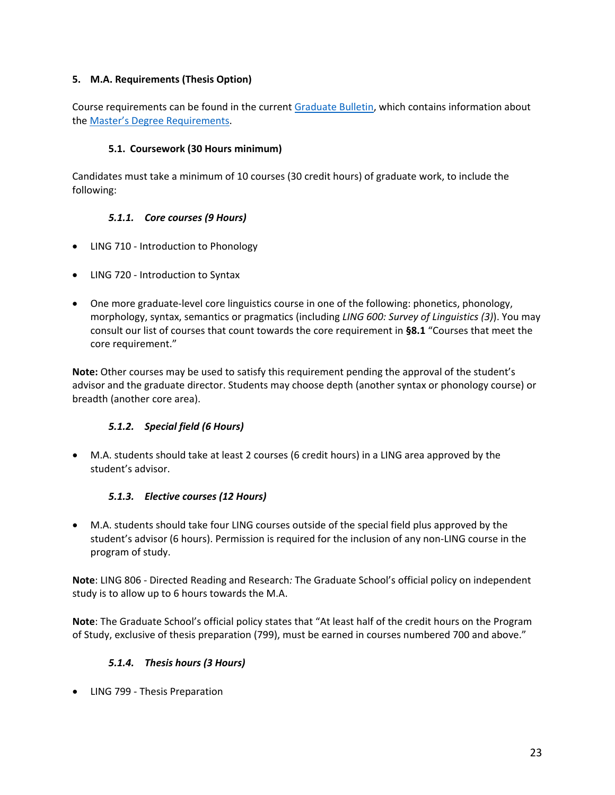## <span id="page-22-0"></span>**5. M.A. Requirements (Thesis Option)**

Course requirements can be found in the current [Graduate Bulletin,](https://academicbulletins.sc.edu/graduate/) which contains information about the [Master's Degree Requirements.](https://academicbulletins.sc.edu/graduate/degree-requirements/masters-degree-requirements/)

## **5.1. Coursework (30 Hours minimum)**

<span id="page-22-1"></span>Candidates must take a minimum of 10 courses (30 credit hours) of graduate work, to include the following:

## *5.1.1. Core courses (9 Hours)*

- <span id="page-22-2"></span>• LING 710 - Introduction to Phonology
- LING 720 Introduction to Syntax
- One more graduate-level core linguistics course in one of the following: phonetics, phonology, morphology, syntax, semantics or pragmatics (including *LING 600: Survey of Linguistics (3)*). You may consult our list of courses that count towards the core requirement in **[§8.1](#page-29-2)** ["Courses that meet the](#page-29-2)  [core requirement.](#page-29-2)"

**Note:** Other courses may be used to satisfy this requirement pending the approval of the student's advisor and the graduate director. Students may choose depth (another syntax or phonology course) or breadth (another core area).

# *5.1.2. Special field (6 Hours)*

<span id="page-22-3"></span>• M.A. students should take at least 2 courses (6 credit hours) in a LING area approved by the student's advisor.

#### *5.1.3. Elective courses (12 Hours)*

<span id="page-22-4"></span>• M.A. students should take four LING courses outside of the special field plus approved by the student's advisor (6 hours). Permission is required for the inclusion of any non-LING course in the program of study.

**Note**: LING 806 - Directed Reading and Research*:* The Graduate School's official policy on independent study is to allow up to 6 hours towards the M.A.

**Note**: The Graduate School's official policy states that "At least half of the credit hours on the Program of Study, exclusive of thesis preparation (799), must be earned in courses numbered 700 and above."

#### *5.1.4. Thesis hours (3 Hours)*

<span id="page-22-5"></span>• LING 799 - Thesis Preparation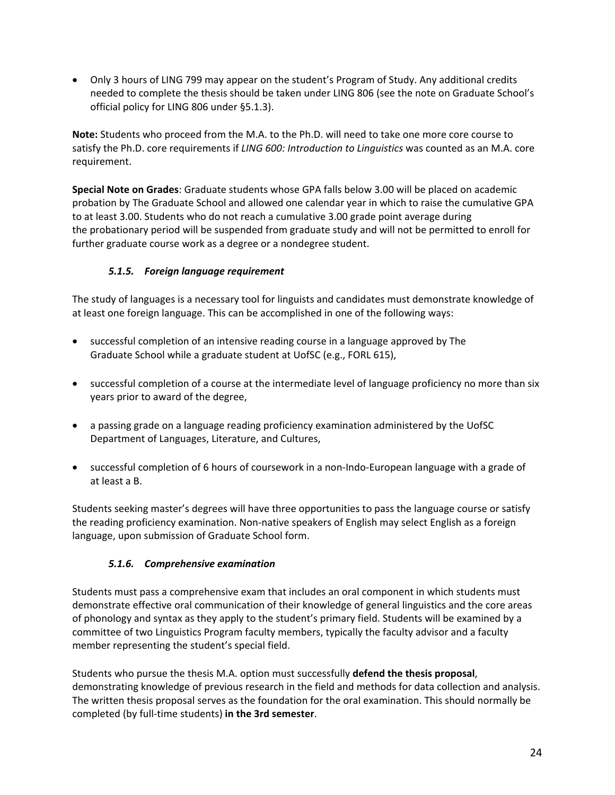• Only 3 hours of LING 799 may appear on the student's Program of Study. Any additional credits needed to complete the thesis should be taken under LING 806 (see the note on Graduate School's official policy for LING 806 under [§5.1.3\)](#page-22-4).

**Note:** Students who proceed from the M.A. to the Ph.D. will need to take one more core course to satisfy the Ph.D. core requirements if *LING 600: Introduction to Linguistics* was counted as an M.A. core requirement.

**Special Note on Grades**: Graduate students whose GPA falls below 3.00 will be placed on academic probation by The Graduate School and allowed one calendar year in which to raise the cumulative GPA to at least 3.00. Students who do not reach a cumulative 3.00 grade point average during the probationary period will be suspended from graduate study and will not be permitted to enroll for further graduate course work as a degree or a nondegree student.

## *5.1.5. Foreign language requirement*

<span id="page-23-0"></span>The study of languages is a necessary tool for linguists and candidates must demonstrate knowledge of at least one foreign language. This can be accomplished in one of the following ways:

- successful completion of an intensive reading course in a language approved by The Graduate School while a graduate student at UofSC (e.g., FORL 615),
- successful completion of a course at the intermediate level of language proficiency no more than six years prior to award of the degree,
- a passing grade on a language reading proficiency examination administered by the UofSC Department of Languages, Literature, and Cultures,
- successful completion of 6 hours of coursework in a non-Indo-European language with a grade of at least a B.

Students seeking master's degrees will have three opportunities to pass the language course or satisfy the reading proficiency examination. Non-native speakers of English may select English as a foreign language, upon submission of Graduate School form.

#### *5.1.6. Comprehensive examination*

<span id="page-23-1"></span>Students must pass a comprehensive exam that includes an oral component in which students must demonstrate effective oral communication of their knowledge of general linguistics and the core areas of phonology and syntax as they apply to the student's primary field. Students will be examined by a committee of two Linguistics Program faculty members, typically the faculty advisor and a faculty member representing the student's special field.

Students who pursue the thesis M.A. option must successfully **defend the thesis proposal**, demonstrating knowledge of previous research in the field and methods for data collection and analysis. The written thesis proposal serves as the foundation for the oral examination. This should normally be completed (by full-time students) **in the 3rd semester**.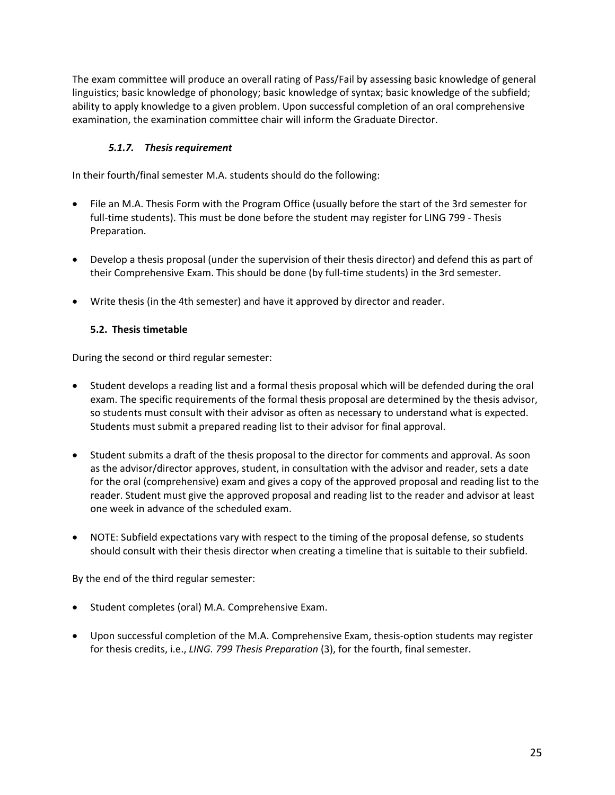The exam committee will produce an overall rating of Pass/Fail by assessing basic knowledge of general linguistics; basic knowledge of phonology; basic knowledge of syntax; basic knowledge of the subfield; ability to apply knowledge to a given problem. Upon successful completion of an oral comprehensive examination, the examination committee chair will inform the Graduate Director.

## *5.1.7. Thesis requirement*

<span id="page-24-0"></span>In their fourth/final semester M.A. students should do the following:

- File an M.A. Thesis Form with the Program Office (usually before the start of the 3rd semester for full-time students). This must be done before the student may register for LING 799 - Thesis Preparation.
- Develop a thesis proposal (under the supervision of their thesis director) and defend this as part of their Comprehensive Exam. This should be done (by full-time students) in the 3rd semester.
- Write thesis (in the 4th semester) and have it approved by director and reader.

#### <span id="page-24-1"></span>**5.2. Thesis timetable**

During the second or third regular semester:

- Student develops a reading list and a formal thesis proposal which will be defended during the oral exam. The specific requirements of the formal thesis proposal are determined by the thesis advisor, so students must consult with their advisor as often as necessary to understand what is expected. Students must submit a prepared reading list to their advisor for final approval.
- Student submits a draft of the thesis proposal to the director for comments and approval. As soon as the advisor/director approves, student, in consultation with the advisor and reader, sets a date for the oral (comprehensive) exam and gives a copy of the approved proposal and reading list to the reader. Student must give the approved proposal and reading list to the reader and advisor at least one week in advance of the scheduled exam.
- NOTE: Subfield expectations vary with respect to the timing of the proposal defense, so students should consult with their thesis director when creating a timeline that is suitable to their subfield.

By the end of the third regular semester:

- Student completes (oral) M.A. Comprehensive Exam.
- Upon successful completion of the M.A. Comprehensive Exam, thesis-option students may register for thesis credits, i.e., *LING. 799 Thesis Preparation* (3), for the fourth, final semester.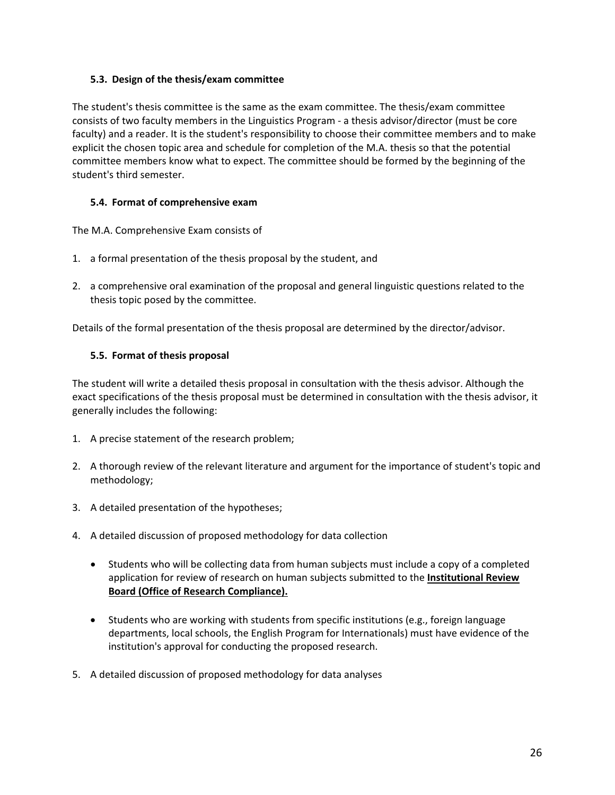#### <span id="page-25-0"></span>**5.3. Design of the thesis/exam committee**

The student's thesis committee is the same as the exam committee. The thesis/exam committee consists of two faculty members in the Linguistics Program - a thesis advisor/director (must be core faculty) and a reader. It is the student's responsibility to choose their committee members and to make explicit the chosen topic area and schedule for completion of the M.A. thesis so that the potential committee members know what to expect. The committee should be formed by the beginning of the student's third semester.

#### <span id="page-25-1"></span>**5.4. Format of comprehensive exam**

The M.A. Comprehensive Exam consists of

- 1. a formal presentation of the thesis proposal by the student, and
- 2. a comprehensive oral examination of the proposal and general linguistic questions related to the thesis topic posed by the committee.

Details of the formal presentation of the thesis proposal are determined by the director/advisor.

#### <span id="page-25-2"></span>**5.5. Format of thesis proposal**

The student will write a detailed thesis proposal in consultation with the thesis advisor. Although the exact specifications of the thesis proposal must be determined in consultation with the thesis advisor, it generally includes the following:

- 1. A precise statement of the research problem;
- 2. A thorough review of the relevant literature and argument for the importance of student's topic and methodology;
- 3. A detailed presentation of the hypotheses;
- 4. A detailed discussion of proposed methodology for data collection
	- Students who will be collecting data from human subjects must include a copy of a completed application for review of research on human subjects submitted to the **[Institutional Review](http://orc.research.sc.edu/irb.shtml)  [Board \(Office of Research Compliance\).](http://orc.research.sc.edu/irb.shtml)**
	- Students who are working with students from specific institutions (e.g., foreign language departments, local schools, the English Program for Internationals) must have evidence of the institution's approval for conducting the proposed research.
- 5. A detailed discussion of proposed methodology for data analyses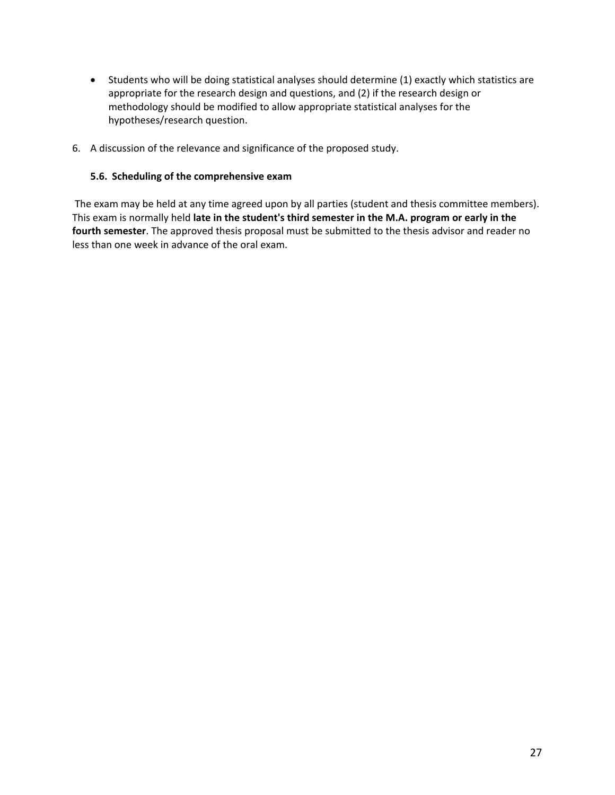- Students who will be doing statistical analyses should determine (1) exactly which statistics are appropriate for the research design and questions, and (2) if the research design or methodology should be modified to allow appropriate statistical analyses for the hypotheses/research question.
- 6. A discussion of the relevance and significance of the proposed study.

#### <span id="page-26-0"></span>**5.6. Scheduling of the comprehensive exam**

The exam may be held at any time agreed upon by all parties (student and thesis committee members). This exam is normally held **late in the student's third semester in the M.A. program or early in the fourth semester**. The approved thesis proposal must be submitted to the thesis advisor and reader no less than one week in advance of the oral exam.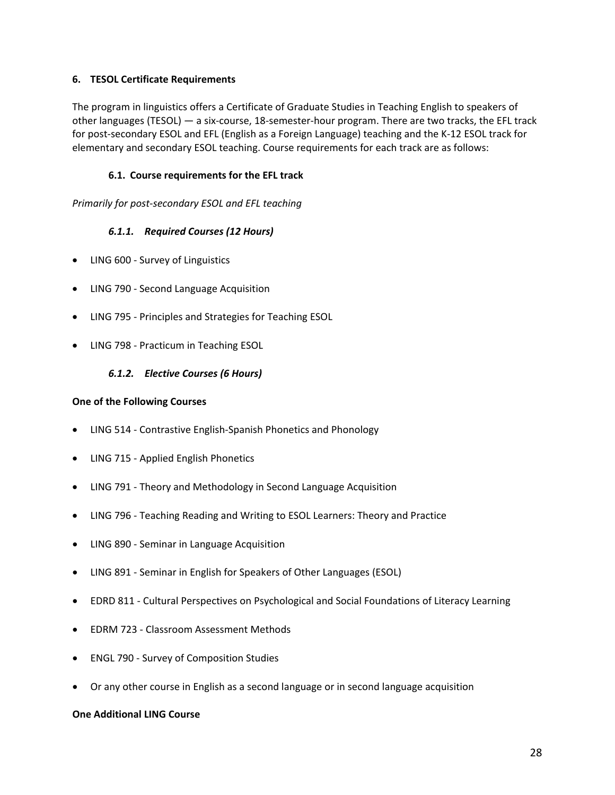#### <span id="page-27-0"></span>**6. TESOL Certificate Requirements**

The program in linguistics offers a Certificate of Graduate Studies in Teaching English to speakers of other languages (TESOL) — a six-course, 18-semester-hour program. There are two tracks, the EFL track for post-secondary ESOL and EFL (English as a Foreign Language) teaching and the K-12 ESOL track for elementary and secondary ESOL teaching. Course requirements for each track are as follows:

#### **6.1. Course requirements for the EFL track**

<span id="page-27-2"></span><span id="page-27-1"></span>*Primarily for post-secondary ESOL and EFL teaching* 

#### *6.1.1. Required Courses (12 Hours)*

- LING 600 Survey of Linguistics
- LING 790 Second Language Acquisition
- LING 795 Principles and Strategies for Teaching ESOL
- <span id="page-27-3"></span>• LING 798 - Practicum in Teaching ESOL

#### *6.1.2. Elective Courses (6 Hours)*

#### **One of the Following Courses**

- LING 514 Contrastive English-Spanish Phonetics and Phonology
- LING 715 Applied English Phonetics
- LING 791 Theory and Methodology in Second Language Acquisition
- LING 796 Teaching Reading and Writing to ESOL Learners: Theory and Practice
- LING 890 Seminar in Language Acquisition
- LING 891 Seminar in English for Speakers of Other Languages (ESOL)
- EDRD 811 Cultural Perspectives on Psychological and Social Foundations of Literacy Learning
- EDRM 723 Classroom Assessment Methods
- ENGL 790 Survey of Composition Studies
- Or any other course in English as a second language or in second language acquisition

#### **One Additional LING Course**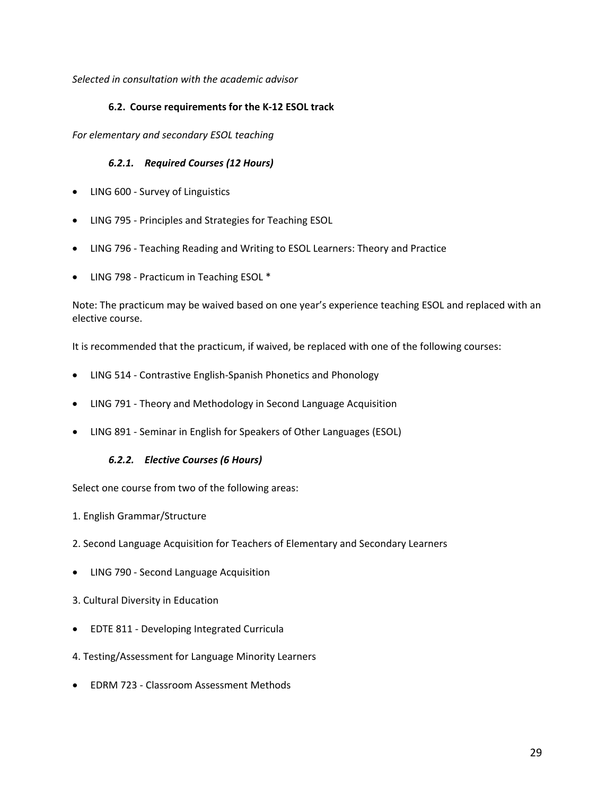<span id="page-28-0"></span>*Selected in consultation with the academic advisor* 

#### **6.2. Course requirements for the K-12 ESOL track**

<span id="page-28-1"></span>*For elementary and secondary ESOL teaching* 

#### *6.2.1. Required Courses (12 Hours)*

- LING 600 Survey of Linguistics
- LING 795 Principles and Strategies for Teaching ESOL
- LING 796 Teaching Reading and Writing to ESOL Learners: Theory and Practice
- LING 798 Practicum in Teaching ESOL \*

Note: The practicum may be waived based on one year's experience teaching ESOL and replaced with an elective course.

It is recommended that the practicum, if waived, be replaced with one of the following courses:

- LING 514 Contrastive English-Spanish Phonetics and Phonology
- LING 791 Theory and Methodology in Second Language Acquisition
- <span id="page-28-2"></span>• LING 891 - Seminar in English for Speakers of Other Languages (ESOL)

#### *6.2.2. Elective Courses (6 Hours)*

Select one course from two of the following areas:

- 1. English Grammar/Structure
- 2. Second Language Acquisition for Teachers of Elementary and Secondary Learners
- LING 790 Second Language Acquisition
- 3. Cultural Diversity in Education
- EDTE 811 Developing Integrated Curricula
- 4. Testing/Assessment for Language Minority Learners
- EDRM 723 Classroom Assessment Methods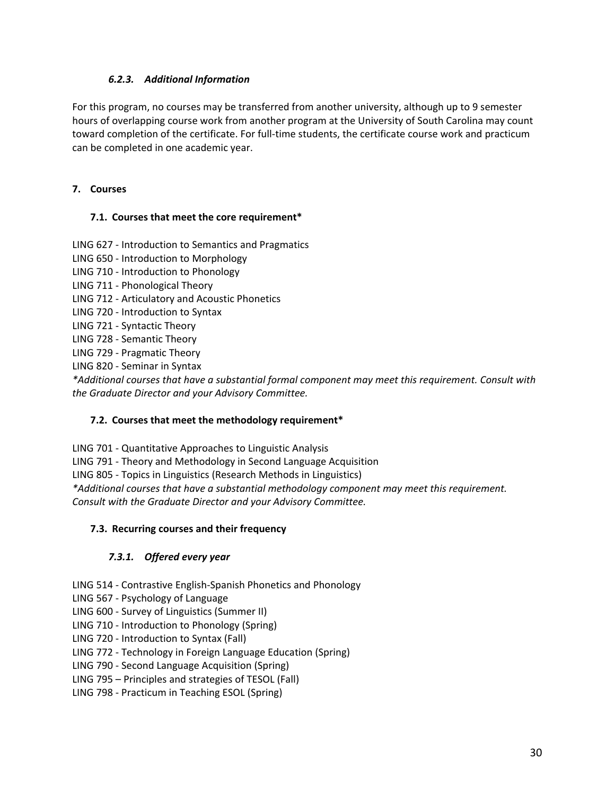#### *6.2.3. Additional Information*

<span id="page-29-0"></span>For this program, no courses may be transferred from another university, although up to 9 semester hours of overlapping course work from another program at the University of South Carolina may count toward completion of the certificate. For full-time students, the certificate course work and practicum can be completed in one academic year.

#### <span id="page-29-1"></span>**7. Courses**

#### <span id="page-29-2"></span>**7.1. Courses that meet the core requirement\***

LING 627 - Introduction to Semantics and Pragmatics

LING 650 - Introduction to Morphology

- LING 710 Introduction to Phonology
- LING 711 Phonological Theory
- LING 712 Articulatory and Acoustic Phonetics
- LING 720 Introduction to Syntax
- LING 721 Syntactic Theory
- LING 728 Semantic Theory
- LING 729 Pragmatic Theory

LING 820 - Seminar in Syntax

*\*Additional courses that have a substantial formal component may meet this requirement. Consult with the Graduate Director and your Advisory Committee.*

#### <span id="page-29-3"></span>**7.2. Courses that meet the methodology requirement\***

LING 701 - Quantitative Approaches to Linguistic Analysis

LING 791 - Theory and Methodology in Second Language Acquisition

LING 805 - Topics in Linguistics (Research Methods in Linguistics)

*\*Additional courses that have a substantial methodology component may meet this requirement.* 

*Consult with the Graduate Director and your Advisory Committee.*

#### <span id="page-29-4"></span>**7.3. Recurring courses and their frequency**

#### *7.3.1. Offered every year*

- <span id="page-29-5"></span>LING 514 - Contrastive English-Spanish Phonetics and Phonology
- LING 567 Psychology of Language
- LING 600 Survey of Linguistics (Summer II)
- LING 710 Introduction to Phonology (Spring)
- LING 720 Introduction to Syntax (Fall)

LING 772 - Technology in Foreign Language Education (Spring)

LING 790 - Second Language Acquisition (Spring)

LING 795 – Principles and strategies of TESOL (Fall)

LING 798 - Practicum in Teaching ESOL (Spring)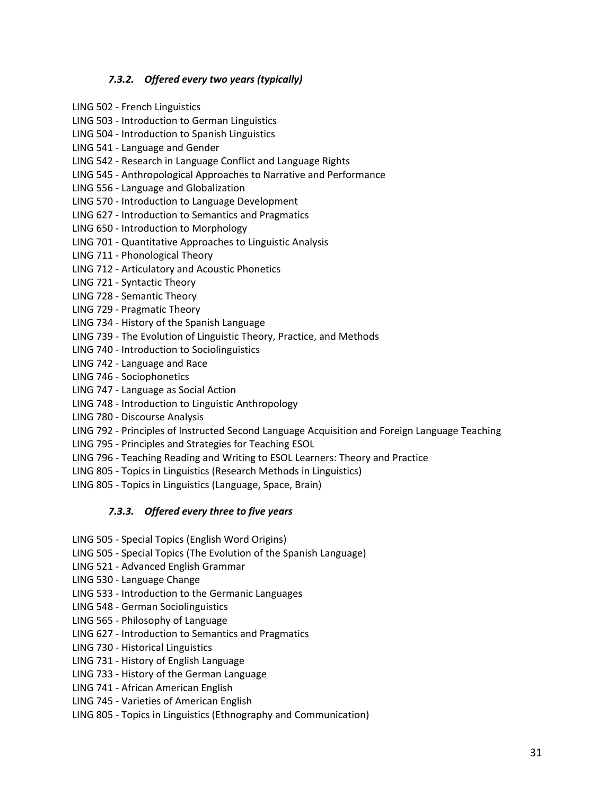#### *7.3.2. Offered every two years (typically)*

- <span id="page-30-0"></span>LING 502 - French Linguistics
- LING 503 Introduction to German Linguistics
- LING 504 Introduction to Spanish Linguistics
- LING 541 Language and Gender
- LING 542 Research in Language Conflict and Language Rights
- LING 545 Anthropological Approaches to Narrative and Performance
- LING 556 Language and Globalization
- LING 570 Introduction to Language Development
- LING 627 Introduction to Semantics and Pragmatics
- LING 650 Introduction to Morphology
- LING 701 Quantitative Approaches to Linguistic Analysis
- LING 711 Phonological Theory
- LING 712 Articulatory and Acoustic Phonetics
- LING 721 Syntactic Theory
- LING 728 Semantic Theory
- LING 729 Pragmatic Theory
- LING 734 History of the Spanish Language
- LING 739 The Evolution of Linguistic Theory, Practice, and Methods
- LING 740 Introduction to Sociolinguistics
- LING 742 Language and Race
- LING 746 Sociophonetics
- LING 747 Language as Social Action
- LING 748 Introduction to Linguistic Anthropology
- LING 780 Discourse Analysis
- LING 792 Principles of Instructed Second Language Acquisition and Foreign Language Teaching
- LING 795 Principles and Strategies for Teaching ESOL
- LING 796 Teaching Reading and Writing to ESOL Learners: Theory and Practice
- LING 805 Topics in Linguistics (Research Methods in Linguistics)
- <span id="page-30-1"></span>LING 805 - Topics in Linguistics (Language, Space, Brain)

#### *7.3.3. Offered every three to five years*

- LING 505 Special Topics (English Word Origins)
- LING 505 Special Topics (The Evolution of the Spanish Language)
- LING 521 Advanced English Grammar
- LING 530 Language Change
- LING 533 Introduction to the Germanic Languages
- LING 548 German Sociolinguistics
- LING 565 Philosophy of Language
- LING 627 Introduction to Semantics and Pragmatics
- LING 730 Historical Linguistics
- LING 731 History of English Language
- LING 733 History of the German Language
- LING 741 African American English
- LING 745 Varieties of American English
- LING 805 Topics in Linguistics (Ethnography and Communication)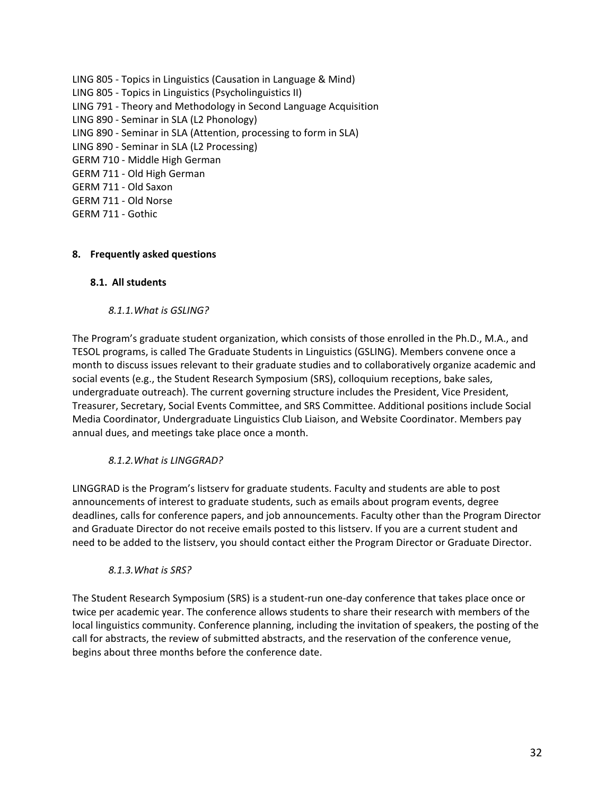- LING 805 Topics in Linguistics (Causation in Language & Mind) LING 805 - Topics in Linguistics (Psycholinguistics II) LING 791 - Theory and Methodology in Second Language Acquisition LING 890 - Seminar in SLA (L2 Phonology) LING 890 - Seminar in SLA (Attention, processing to form in SLA) LING 890 - Seminar in SLA (L2 Processing) GERM 710 - Middle High German GERM 711 - Old High German GERM 711 - Old Saxon GERM 711 - Old Norse
- GERM 711 Gothic

#### <span id="page-31-0"></span>**8. Frequently asked questions**

#### <span id="page-31-1"></span>**8.1. All students**

#### *8.1.1.What is GSLING?*

<span id="page-31-2"></span>The Program's graduate student organization, which consists of those enrolled in the Ph.D., M.A., and TESOL programs, is called The Graduate Students in Linguistics (GSLING). Members convene once a month to discuss issues relevant to their graduate studies and to collaboratively organize academic and social events (e.g., the Student Research Symposium (SRS), colloquium receptions, bake sales, undergraduate outreach). The current governing structure includes the President, Vice President, Treasurer, Secretary, Social Events Committee, and SRS Committee. Additional positions include Social Media Coordinator, Undergraduate Linguistics Club Liaison, and Website Coordinator. Members pay annual dues, and meetings take place once a month.

#### *8.1.2.What is LINGGRAD?*

<span id="page-31-3"></span>LINGGRAD is the Program's listserv for graduate students. Faculty and students are able to post announcements of interest to graduate students, such as emails about program events, degree deadlines, calls for conference papers, and job announcements. Faculty other than the Program Director and Graduate Director do not receive emails posted to this listserv. If you are a current student and need to be added to the listserv, you should contact either the Program Director or Graduate Director.

#### *8.1.3.What is SRS?*

<span id="page-31-4"></span>The Student Research Symposium (SRS) is a student-run one-day conference that takes place once or twice per academic year. The conference allows students to share their research with members of the local linguistics community. Conference planning, including the invitation of speakers, the posting of the call for abstracts, the review of submitted abstracts, and the reservation of the conference venue, begins about three months before the conference date.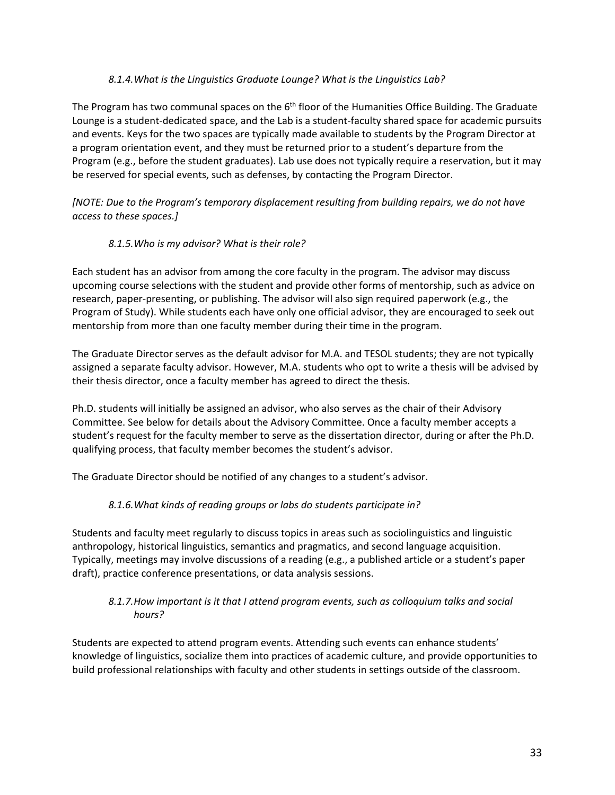#### *8.1.4.What is the Linguistics Graduate Lounge? What is the Linguistics Lab?*

<span id="page-32-0"></span>The Program has two communal spaces on the  $6<sup>th</sup>$  floor of the Humanities Office Building. The Graduate Lounge is a student-dedicated space, and the Lab is a student-faculty shared space for academic pursuits and events. Keys for the two spaces are typically made available to students by the Program Director at a program orientation event, and they must be returned prior to a student's departure from the Program (e.g., before the student graduates). Lab use does not typically require a reservation, but it may be reserved for special events, such as defenses, by contacting the Program Director.

*[NOTE: Due to the Program's temporary displacement resulting from building repairs, we do not have access to these spaces.]* 

#### *8.1.5.Who is my advisor? What is their role?*

<span id="page-32-1"></span>Each student has an advisor from among the core faculty in the program. The advisor may discuss upcoming course selections with the student and provide other forms of mentorship, such as advice on research, paper-presenting, or publishing. The advisor will also sign required paperwork (e.g., the Program of Study). While students each have only one official advisor, they are encouraged to seek out mentorship from more than one faculty member during their time in the program.

The Graduate Director serves as the default advisor for M.A. and TESOL students; they are not typically assigned a separate faculty advisor. However, M.A. students who opt to write a thesis will be advised by their thesis director, once a faculty member has agreed to direct the thesis.

Ph.D. students will initially be assigned an advisor, who also serves as the chair of their Advisory Committee. See below for details about the Advisory Committee. Once a faculty member accepts a student's request for the faculty member to serve as the dissertation director, during or after the Ph.D. qualifying process, that faculty member becomes the student's advisor.

<span id="page-32-2"></span>The Graduate Director should be notified of any changes to a student's advisor.

#### *8.1.6.What kinds of reading groups or labs do students participate in?*

Students and faculty meet regularly to discuss topics in areas such as sociolinguistics and linguistic anthropology, historical linguistics, semantics and pragmatics, and second language acquisition. Typically, meetings may involve discussions of a reading (e.g., a published article or a student's paper draft), practice conference presentations, or data analysis sessions.

#### <span id="page-32-3"></span>*8.1.7.How important is it that I attend program events, such as colloquium talks and social hours?*

Students are expected to attend program events. Attending such events can enhance students' knowledge of linguistics, socialize them into practices of academic culture, and provide opportunities to build professional relationships with faculty and other students in settings outside of the classroom.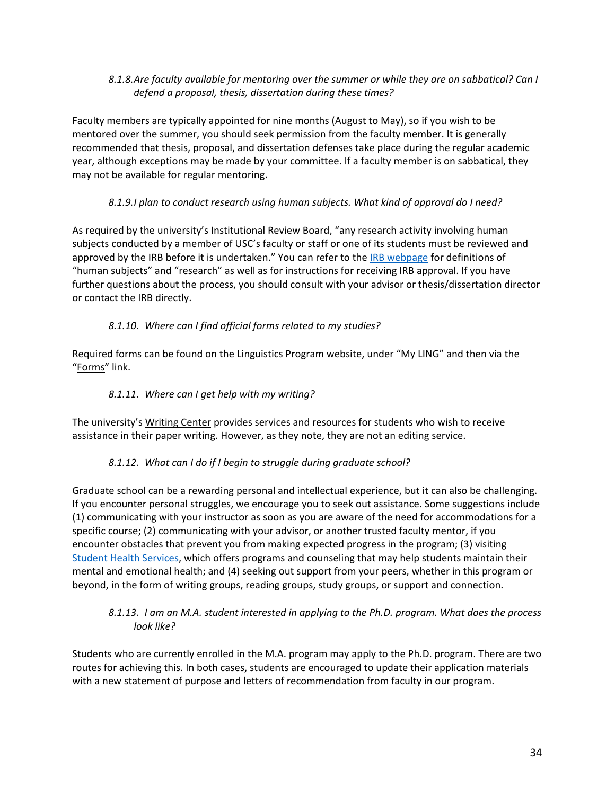#### <span id="page-33-0"></span>*8.1.8.Are faculty available for mentoring over the summer or while they are on sabbatical? Can I defend a proposal, thesis, dissertation during these times?*

Faculty members are typically appointed for nine months (August to May), so if you wish to be mentored over the summer, you should seek permission from the faculty member. It is generally recommended that thesis, proposal, and dissertation defenses take place during the regular academic year, although exceptions may be made by your committee. If a faculty member is on sabbatical, they may not be available for regular mentoring.

## *8.1.9.I plan to conduct research using human subjects. What kind of approval do I need?*

<span id="page-33-1"></span>As required by the university's Institutional Review Board, "any research activity involving human subjects conducted by a member of USC's faculty or staff or one of its students must be reviewed and approved by the IRB before it is undertaken." You can refer to the [IRB webpage](https://sc.edu/about/offices_and_divisions/research_compliance/irb/index.php) for definitions of "human subjects" and "research" as well as for instructions for receiving IRB approval. If you have further questions about the process, you should consult with your advisor or thesis/dissertation director or contact the IRB directly.

# *8.1.10. Where can I find official forms related to my studies?*

<span id="page-33-2"></span>Required forms can be found on the Linguistics Program website, under "My LING" and then via the ["Forms"](https://www.sc.edu/study/colleges_schools/artsandsciences/linguistics/my_ling/forms/index.php) link.

## *8.1.11. Where can I get help with my writing?*

<span id="page-33-3"></span>The university's [Writing Center](https://www.sc.edu/study/colleges_schools/artsandsciences/english_language_and_literature/beyond_classroom/writing_center/index.php) provides services and resources for students who wish to receive assistance in their paper writing. However, as they note, they are not an editing service.

#### *8.1.12. What can I do if I begin to struggle during graduate school?*

<span id="page-33-4"></span>Graduate school can be a rewarding personal and intellectual experience, but it can also be challenging. If you encounter personal struggles, we encourage you to seek out assistance. Some suggestions include (1) communicating with your instructor as soon as you are aware of the need for accommodations for a specific course; (2) communicating with your advisor, or another trusted faculty mentor, if you encounter obstacles that prevent you from making expected progress in the program; (3) visiting [Student Health Services,](https://www.sc.edu/about/offices_and_divisions/student_health_services/mental-health/index.php) which offers programs and counseling that may help students maintain their mental and emotional health; and (4) seeking out support from your peers, whether in this program or beyond, in the form of writing groups, reading groups, study groups, or support and connection.

#### <span id="page-33-5"></span>*8.1.13. I am an M.A. student interested in applying to the Ph.D. program. What does the process look like?*

Students who are currently enrolled in the M.A. program may apply to the Ph.D. program. There are two routes for achieving this. In both cases, students are encouraged to update their application materials with a new statement of purpose and letters of recommendation from faculty in our program.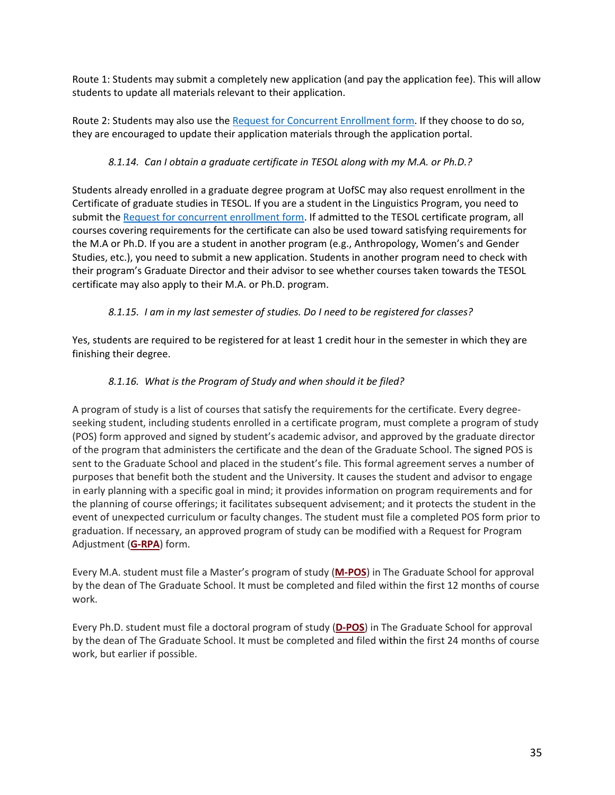Route 1: Students may submit a completely new application (and pay the application fee). This will allow students to update all materials relevant to their application.

Route 2: Students may also use th[e Request for Concurrent Enrollment form.](https://www.sc.edu/study/colleges_schools/graduate_school/documents/request_for_concurrent_enrollment_within_the_same_discipline.pdf) If they choose to do so, they are encouraged to update their application materials through the application portal.

# *8.1.14. Can I obtain a graduate certificate in TESOL along with my M.A. or Ph.D.?*

<span id="page-34-0"></span>Students already enrolled in a graduate degree program at UofSC may also request enrollment in the Certificate of graduate studies in TESOL. If you are a student in the Linguistics Program, you need to submit the [Request for concurrent enrollment form.](https://www.sc.edu/study/colleges_schools/graduate_school/documents/request_for_concurrent_enrollment_within_the_same_discipline.pdf) If admitted to the TESOL certificate program, all courses covering requirements for the certificate can also be used toward satisfying requirements for the M.A or Ph.D. If you are a student in another program (e.g., Anthropology, Women's and Gender Studies, etc.), you need to submit a new application. Students in another program need to check with their program's Graduate Director and their advisor to see whether courses taken towards the TESOL certificate may also apply to their M.A. or Ph.D. program.

# *8.1.15. I am in my last semester of studies. Do I need to be registered for classes?*

<span id="page-34-2"></span><span id="page-34-1"></span>Yes, students are required to be registered for at least 1 credit hour in the semester in which they are finishing their degree.

# *8.1.16. What is the Program of Study and when should it be filed?*

<span id="page-34-3"></span>A program of study is a list of courses that satisfy the requirements for the certificate. Every degreeseeking student, including students enrolled in a certificate program, must complete a program of study (POS) form approved and signed by student's academic advisor, and approved by the graduate director of the program that administers the certificate and the dean of the Graduate School. The signed POS is sent to the Graduate School and placed in the student's file. This formal agreement serves a number of purposes that benefit both the student and the University. It causes the student and advisor to engage in early planning with a specific goal in mind; it provides information on program requirements and for the planning of course offerings; it facilitates subsequent advisement; and it protects the student in the event of unexpected curriculum or faculty changes. The student must file a completed POS form prior to graduation. If necessary, an approved program of study can be modified with a Request for Program Adjustment (**[G-RPA](http://www.sc.edu/study/colleges_schools/graduate_school/forms_library/index.php)**) form.

Every M.A. student must file a Master's program of study (**[M-POS](http://gradschool.sc.edu/forms/Mastersprogramofstudy.pdf)**) in The Graduate School for approval by the dean of The Graduate School. It must be completed and filed within the first 12 months of course work.

Every Ph.D. student must file a doctoral program of study (**[D-POS](https://www.sc.edu/study/colleges_schools/graduate_school/forms_library/index.php)**) in The Graduate School for approval by the dean of The Graduate School. It must be completed and filed within the first 24 months of course work, but earlier if possible.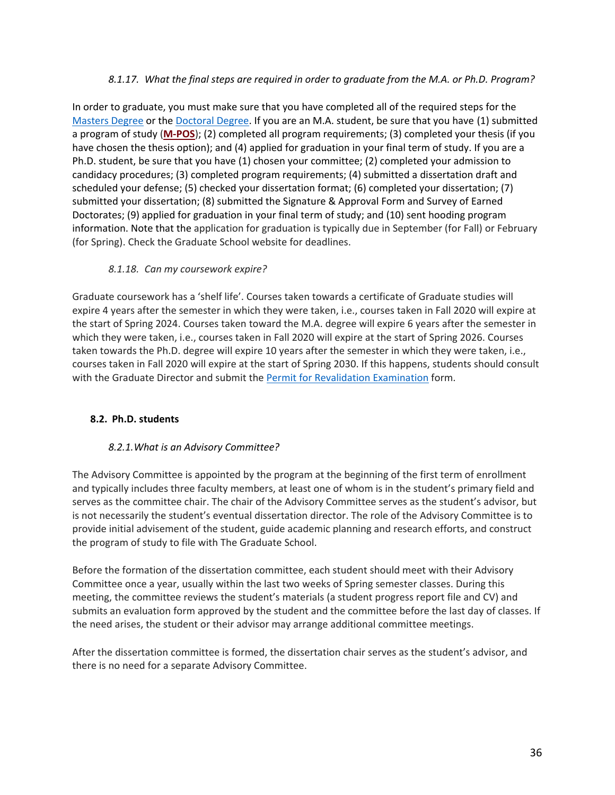#### *8.1.17. What the final steps are required in order to graduate from the M.A. or Ph.D. Program?*

<span id="page-35-0"></span>In order to graduate, you must make sure that you have completed all of the required steps for the [Masters Degree](https://www.sc.edu/study/colleges_schools/graduate_school/academics/progress_to_degree/masters_degree_progress/index.php) or the [Doctoral Degree.](https://www.sc.edu/study/colleges_schools/graduate_school/academics/progress_to_degree/doctoral_degree_progress/index.php) If you are an M.A. student, be sure that you have (1) submitted a program of study (**[M-POS](http://gradschool.sc.edu/forms/Mastersprogramofstudy.pdf)**); (2) completed all program requirements; (3) completed your thesis (if you have chosen the thesis option); and (4) applied for graduation in your final term of study. If you are a Ph.D. student, be sure that you have (1) chosen your committee; (2) completed your admission to candidacy procedures; (3) completed program requirements; (4) submitted a dissertation draft and scheduled your defense; (5) checked your dissertation format; (6) completed your dissertation; (7) submitted your dissertation; (8) submitted the Signature & Approval Form and Survey of Earned Doctorates; (9) applied for graduation in your final term of study; and (10) sent hooding program information. Note that the application for graduation is typically due in September (for Fall) or February (for Spring). Check the Graduate School website for deadlines.

#### *8.1.18. Can my coursework expire?*

Graduate coursework has a 'shelf life'. Courses taken towards a certificate of Graduate studies will expire 4 years after the semester in which they were taken, i.e., courses taken in Fall 2020 will expire at the start of Spring 2024. Courses taken toward the M.A. degree will expire 6 years after the semester in which they were taken, i.e., courses taken in Fall 2020 will expire at the start of Spring 2026. Courses taken towards the Ph.D. degree will expire 10 years after the semester in which they were taken, i.e., courses taken in Fall 2020 will expire at the start of Spring 2030. If this happens, students should consult with the Graduate Director and submit the [Permit for Revalidation Examination](https://www.sc.edu/study/colleges_schools/graduate_school/documents/pre.pdf) form.

#### <span id="page-35-1"></span>**8.2. Ph.D. students**

#### *8.2.1.What is an Advisory Committee?*

<span id="page-35-2"></span>The Advisory Committee is appointed by the program at the beginning of the first term of enrollment and typically includes three faculty members, at least one of whom is in the student's primary field and serves as the committee chair. The chair of the Advisory Committee serves as the student's advisor, but is not necessarily the student's eventual dissertation director. The role of the Advisory Committee is to provide initial advisement of the student, guide academic planning and research efforts, and construct the program of study to file with The Graduate School.

Before the formation of the dissertation committee, each student should meet with their Advisory Committee once a year, usually within the last two weeks of Spring semester classes. During this meeting, the committee reviews the student's materials (a student progress report file and CV) and submits an evaluation form approved by the student and the committee before the last day of classes. If the need arises, the student or their advisor may arrange additional committee meetings.

After the dissertation committee is formed, the dissertation chair serves as the student's advisor, and there is no need for a separate Advisory Committee.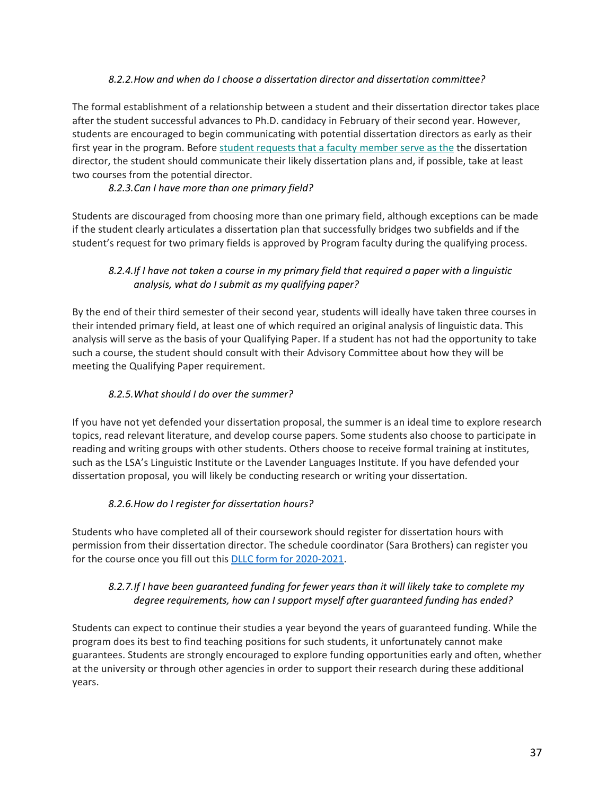#### *8.2.2.How and when do I choose a dissertation director and dissertation committee?*

<span id="page-36-0"></span>The formal establishment of a relationship between a student and their dissertation director takes place after the student successful advances to Ph.D. candidacy in February of their second year. However, students are encouraged to begin communicating with potential dissertation directors as early as their first year in the program. Before student requests that a faculty member serve as the the dissertation director, the student should communicate their likely dissertation plans and, if possible, take at least two courses from the potential director.

## *8.2.3.Can I have more than one primary field?*

<span id="page-36-1"></span>Students are discouraged from choosing more than one primary field, although exceptions can be made if the student clearly articulates a dissertation plan that successfully bridges two subfields and if the student's request for two primary fields is approved by Program faculty during the qualifying process.

## <span id="page-36-2"></span>*8.2.4.If I have not taken a course in my primary field that required a paper with a linguistic analysis, what do I submit as my qualifying paper?*

By the end of their third semester of their second year, students will ideally have taken three courses in their intended primary field, at least one of which required an original analysis of linguistic data. This analysis will serve as the basis of your Qualifying Paper. If a student has not had the opportunity to take such a course, the student should consult with their Advisory Committee about how they will be meeting the Qualifying Paper requirement.

## *8.2.5.What should I do over the summer?*

<span id="page-36-3"></span>If you have not yet defended your dissertation proposal, the summer is an ideal time to explore research topics, read relevant literature, and develop course papers. Some students also choose to participate in reading and writing groups with other students. Others choose to receive formal training at institutes, such as the LSA's Linguistic Institute or the Lavender Languages Institute. If you have defended your dissertation proposal, you will likely be conducting research or writing your dissertation.

#### *8.2.6.How do I register for dissertation hours?*

<span id="page-36-4"></span>Students who have completed all of their coursework should register for dissertation hours with permission from their dissertation director. The schedule coordinator (Sara Brothers) can register you for the course once you fill out this DLLC form [for 2020-2021.](https://forms.office.com/Pages/ResponsePage.aspx?id=GUsqSzXRDkKLsrHNI4mYzBsSQmkGqoVGin4KPfiB_UFUQVpYRDZXMkg2MERXMjJRRUs1N1g3QkZGMC4u)

#### <span id="page-36-5"></span>*8.2.7.If I have been guaranteed funding for fewer years than it will likely take to complete my degree requirements, how can I support myself after guaranteed funding has ended?*

Students can expect to continue their studies a year beyond the years of guaranteed funding. While the program does its best to find teaching positions for such students, it unfortunately cannot make guarantees. Students are strongly encouraged to explore funding opportunities early and often, whether at the university or through other agencies in order to support their research during these additional years.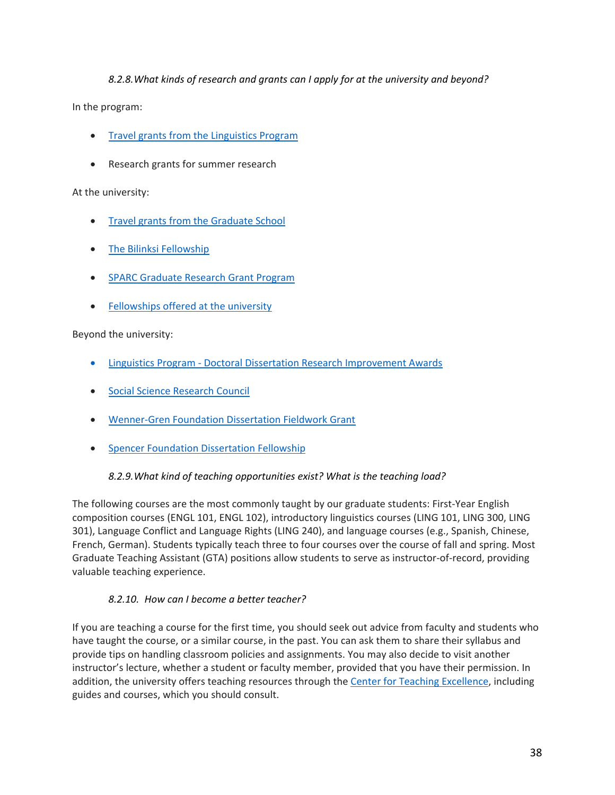## *8.2.8.What kinds of research and grants can I apply for at the university and beyond?*

<span id="page-37-0"></span>In the program:

- Travel grants [from the Linguistics Program](https://sc.edu/study/colleges_schools/artsandsciences/linguistics/my_ling/funding.php)
- Research grants for summer research

#### At the university:

- [Travel grants from the Graduate School](https://www.sc.edu/study/colleges_schools/graduate_school/opportunities_support/travel_grants/index.php)
- [The Bilinksi Fellowship](https://www.sc.edu/study/colleges_schools/artsandsciences/internal/graduatestudents/bilinski_fellows/index.php)
- [SPARC Graduate Research Grant Program](https://www.sc.edu/about/offices_and_divisions/research/internal_funding_awards/students/sparc/index.php)
- [Fellowships offered at the university](https://www.sc.edu/study/colleges_schools/graduate_school/paying_for_graduate_school/fellowships_awards/index.php)

Beyond the university:

- Linguistics Program Doctoral [Dissertation Research Improvement Awards](https://www.nsf.gov/funding/pgm_summ.jsp?pims_id=505033&org=NSF)
- [Social Science Research Council](https://www.ssrc.org/fellowships/)
- [Wenner-Gren Foundation Dissertation Fieldwork Grant](http://www.wennergren.org/programs/dissertation-fieldwork-grants)
- [Spencer Foundation Dissertation Fellowship](https://www.spencer.org/grant_types/dissertation-fellowship)

#### *8.2.9.What kind of teaching opportunities exist? What is the teaching load?*

<span id="page-37-1"></span>The following courses are the most commonly taught by our graduate students: First-Year English composition courses (ENGL 101, ENGL 102), introductory linguistics courses (LING 101, LING 300, LING 301), Language Conflict and Language Rights (LING 240), and language courses (e.g., Spanish, Chinese, French, German). Students typically teach three to four courses over the course of fall and spring. Most Graduate Teaching Assistant (GTA) positions allow students to serve as instructor-of-record, providing valuable teaching experience.

#### *8.2.10. How can I become a better teacher?*

<span id="page-37-2"></span>If you are teaching a course for the first time, you should seek out advice from faculty and students who have taught the course, or a similar course, in the past. You can ask them to share their syllabus and provide tips on handling classroom policies and assignments. You may also decide to visit another instructor's lecture, whether a student or faculty member, provided that you have their permission. In addition, the university offers teaching resources through the [Center for Teaching Excellence,](https://sc.edu/about/offices_and_divisions/cte/) including guides and courses, which you should consult.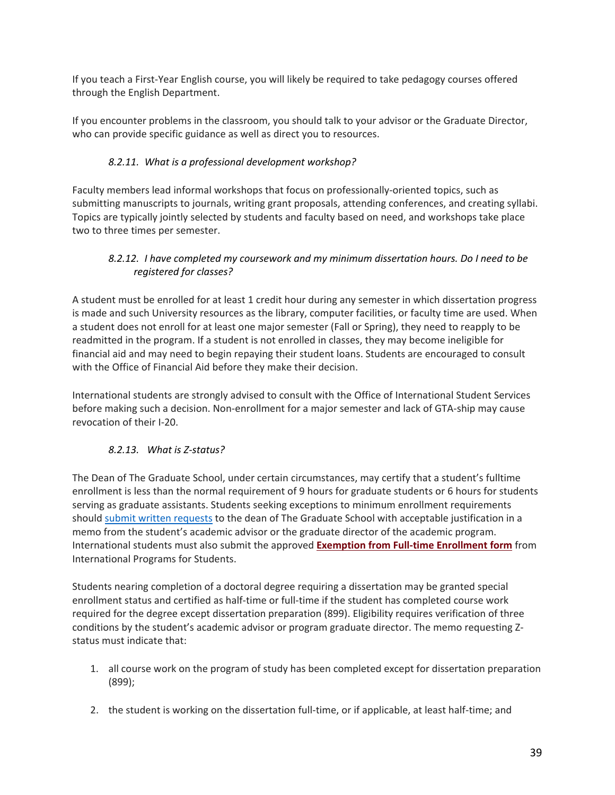If you teach a First-Year English course, you will likely be required to take pedagogy courses offered through the English Department.

If you encounter problems in the classroom, you should talk to your advisor or the Graduate Director, who can provide specific guidance as well as direct you to resources.

## *8.2.11. What is a professional development workshop?*

<span id="page-38-0"></span>Faculty members lead informal workshops that focus on professionally-oriented topics, such as submitting manuscripts to journals, writing grant proposals, attending conferences, and creating syllabi. Topics are typically jointly selected by students and faculty based on need, and workshops take place two to three times per semester.

## <span id="page-38-1"></span>*8.2.12. I have completed my coursework and my minimum dissertation hours. Do I need to be registered for classes?*

A student must be enrolled for at least 1 credit hour during any semester in which dissertation progress is made and such University resources as the library, computer facilities, or faculty time are used. When a student does not enroll for at least one major semester (Fall or Spring), they need to reapply to be readmitted in the program. If a student is not enrolled in classes, they may become ineligible for financial aid and may need to begin repaying their student loans. Students are encouraged to consult with the Office of Financial Aid before they make their decision.

International students are strongly advised to consult with the Office of International Student Services before making such a decision. Non-enrollment for a major semester and lack of GTA-ship may cause revocation of their I-20.

# <span id="page-38-2"></span>*8.2.13. What is Z-status?*

The Dean of The Graduate School, under certain circumstances, may certify that a student's fulltime enrollment is less than the normal requirement of 9 hours for graduate students or 6 hours for students serving as graduate assistants. Students seeking exceptions to minimum enrollment requirements should [submit written requests](https://www.sc.edu/study/colleges_schools/graduate_school/documents/gs-zs_may20.pdf) to the dean of The Graduate School with acceptable justification in a memo from the student's academic advisor or the graduate director of the academic program. International students must also submit the approved **Exemption from [Full-time Enrollment form](https://www.sc.edu/about/offices_and_divisions/international_student_services/immigration/maintaining-your-immigration-status/full-time-enrollment-requirements/index.php)** from International Programs for Students.

Students nearing completion of a doctoral degree requiring a dissertation may be granted special enrollment status and certified as half-time or full-time if the student has completed course work required for the degree except dissertation preparation (899). Eligibility requires verification of three conditions by the student's academic advisor or program graduate director. The memo requesting Zstatus must indicate that:

- 1. all course work on the program of study has been completed except for dissertation preparation (899);
- 2. the student is working on the dissertation full-time, or if applicable, at least half-time; and